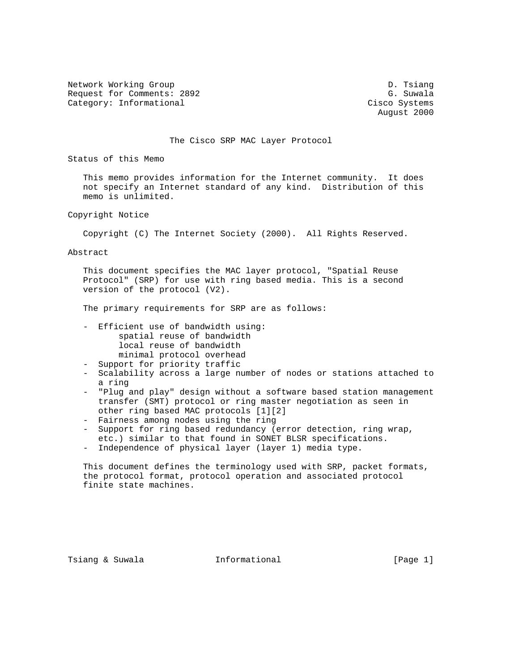Network Working Group Description of the U.S. of the U.S. of the U.S. of the U.S. of the U.S. of the U.S. of the U.S. of the U.S. of the U.S. of the U.S. of the U.S. of the U.S. of the U.S. of the U.S. of the U.S. of the U Request for Comments: 2892 G. Suwala Category: Informational Cisco Systems

August 2000

The Cisco SRP MAC Layer Protocol

Status of this Memo

 This memo provides information for the Internet community. It does not specify an Internet standard of any kind. Distribution of this memo is unlimited.

Copyright Notice

Copyright (C) The Internet Society (2000). All Rights Reserved.

Abstract

 This document specifies the MAC layer protocol, "Spatial Reuse Protocol" (SRP) for use with ring based media. This is a second version of the protocol (V2).

The primary requirements for SRP are as follows:

- Efficient use of bandwidth using: spatial reuse of bandwidth local reuse of bandwidth minimal protocol overhead
- Support for priority traffic
- Scalability across a large number of nodes or stations attached to a ring
- "Plug and play" design without a software based station management transfer (SMT) protocol or ring master negotiation as seen in other ring based MAC protocols [1][2]
- Fairness among nodes using the ring
- Support for ring based redundancy (error detection, ring wrap, etc.) similar to that found in SONET BLSR specifications.
- Independence of physical layer (layer 1) media type.

 This document defines the terminology used with SRP, packet formats, the protocol format, protocol operation and associated protocol finite state machines.

Tsiang & Suwala **Informational** 10 (Page 1)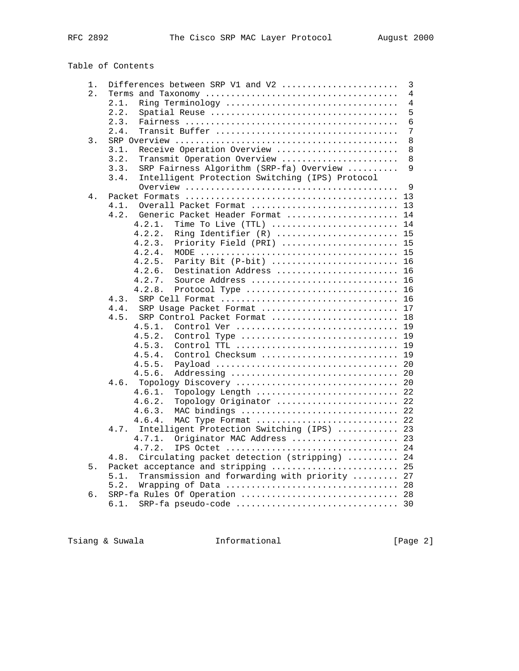# Table of Contents

| 1. | Differences between SRP V1 and V2                       | $\mathsf 3$ |
|----|---------------------------------------------------------|-------------|
| 2. |                                                         | 4           |
|    | 2.1.<br>Ring Terminology                                | 4           |
|    | 2.2.                                                    | 5           |
|    | 2.3.                                                    | 6           |
|    | 2.4.                                                    | 7           |
| 3. |                                                         | 8           |
|    | Receive Operation Overview<br>3.1.                      | 8           |
|    | 3.2.<br>Transmit Operation Overview                     | 8           |
|    | 3.3.<br>SRP Fairness Algorithm (SRP-fa) Overview        | 9           |
|    | 3.4.<br>Intelligent Protection Switching (IPS) Protocol |             |
|    |                                                         | 9           |
| 4. |                                                         | 13          |
|    | 4.1.<br>Overall Packet Format                           | 13          |
|    | 4.2.<br>Generic Packet Header Format                    | 14          |
|    | 4.2.1.<br>Time To Live (TTL)                            | 14          |
|    | 4.2.2.<br>Ring Identifier (R)                           | 15          |
|    | 4.2.3.<br>Priority Field (PRI)                          | 15          |
|    | 4.2.4.                                                  | 15          |
|    | 4.2.5.<br>Parity Bit (P-bit)                            | 16          |
|    | 4.2.6.<br>Destination Address                           | 16          |
|    | 4.2.7.<br>Source Address                                | 16          |
|    | 4.2.8.<br>Protocol Type                                 | 16          |
|    | 4.3.                                                    | 16          |
|    | 4.4.<br>SRP Usage Packet Format                         | 17          |
|    | 4.5.<br>SRP Control Packet Format                       | 18          |
|    | 4.5.1.<br>Control Ver<br>19                             |             |
|    | 4.5.2.<br>Control Type                                  | 19          |
|    | 4.5.3.<br>Control TTL                                   | 19          |
|    | 4.5.4.<br>Control Checksum                              | 19          |
|    | 4.5.5.                                                  | 20          |
|    | 4.5.6.<br>Addressing<br>4.6.                            | 20          |
|    | Topology Discovery                                      | 20          |
|    | 4.6.1.<br>Topology Length<br>4.6.2.                     | 22<br>22    |
|    | Topology Originator<br>4.6.3.<br>MAC bindings  22       |             |
|    | 4.6.4.<br>MAC Type Format  22                           |             |
|    | 4.7.<br>Intelligent Protection Switching (IPS)          | 23          |
|    | 4.7.1.<br>Originator MAC Address                        | 23          |
|    | IPS Octet<br>4.7.2.                                     | 24          |
|    | Circulating packet detection (stripping)  24<br>4.8.    |             |
| 5. | Packet acceptance and stripping  25                     |             |
|    | Transmission and forwarding with priority  27<br>5.1.   |             |
|    | 5.2.                                                    | 28          |
| б. | SRP-fa Rules Of Operation  28                           |             |
|    | 6.1.                                                    |             |
|    |                                                         |             |

Tsiang & Suwala **Informational** 111 [Page 2]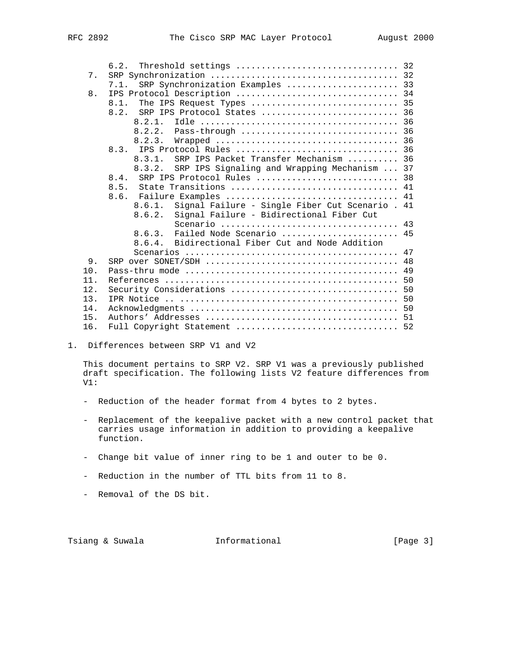|    | 6.2. Threshold settings  32                                                                                                                                                                                                                                                                                                                                   |  |
|----|---------------------------------------------------------------------------------------------------------------------------------------------------------------------------------------------------------------------------------------------------------------------------------------------------------------------------------------------------------------|--|
| 7. |                                                                                                                                                                                                                                                                                                                                                               |  |
|    | 7.1. SRP Synchronization Examples  33                                                                                                                                                                                                                                                                                                                         |  |
| 8. |                                                                                                                                                                                                                                                                                                                                                               |  |
|    | The IPS Request Types  35<br>8.1.                                                                                                                                                                                                                                                                                                                             |  |
|    | SRP IPS Protocol States  36<br>8.2.                                                                                                                                                                                                                                                                                                                           |  |
|    | 8.2.1.                                                                                                                                                                                                                                                                                                                                                        |  |
|    |                                                                                                                                                                                                                                                                                                                                                               |  |
|    |                                                                                                                                                                                                                                                                                                                                                               |  |
|    |                                                                                                                                                                                                                                                                                                                                                               |  |
|    | SRP IPS Packet Transfer Mechanism  36<br>8.3.1.                                                                                                                                                                                                                                                                                                               |  |
|    | 8.3.2. SRP IPS Signaling and Wrapping Mechanism  37                                                                                                                                                                                                                                                                                                           |  |
|    | SRP IPS Protocol Rules  38<br>8.4.                                                                                                                                                                                                                                                                                                                            |  |
|    | State Transitions  41<br>8.5.                                                                                                                                                                                                                                                                                                                                 |  |
|    | Failure Examples  41<br>8.6.                                                                                                                                                                                                                                                                                                                                  |  |
|    | 8.6.1. Signal Failure - Single Fiber Cut Scenario . 41                                                                                                                                                                                                                                                                                                        |  |
|    | $\alpha$ , $\alpha$ , $\alpha$ , $\alpha$ , $\alpha$ , $\alpha$ , $\alpha$ , $\alpha$ , $\alpha$ , $\alpha$ , $\alpha$ , $\alpha$ , $\alpha$ , $\alpha$ , $\alpha$ , $\alpha$ , $\alpha$ , $\alpha$ , $\alpha$ , $\alpha$ , $\alpha$ , $\alpha$ , $\alpha$ , $\alpha$ , $\alpha$ , $\alpha$ , $\alpha$ , $\alpha$ , $\alpha$ , $\alpha$ , $\alpha$ , $\alpha$ |  |

|                 | Signal Failure - Single Fiber Cut Scenario . 41<br>8.6.1. |  |
|-----------------|-----------------------------------------------------------|--|
|                 | Signal Failure - Bidirectional Fiber Cut<br>8.6.2.        |  |
|                 |                                                           |  |
|                 | Failed Node Scenario  45<br>8.6.3.                        |  |
|                 | 8.6.4. Bidirectional Fiber Cut and Node Addition          |  |
|                 |                                                           |  |
| 9.              |                                                           |  |
| 10 <sub>1</sub> |                                                           |  |
| 11              |                                                           |  |
| 12.             |                                                           |  |
| 13.             |                                                           |  |
| 14.             |                                                           |  |
| 15.             |                                                           |  |
| 16.             |                                                           |  |
|                 |                                                           |  |

1. Differences between SRP V1 and V2

 This document pertains to SRP V2. SRP V1 was a previously published draft specification. The following lists V2 feature differences from V1:

- Reduction of the header format from 4 bytes to 2 bytes.
- Replacement of the keepalive packet with a new control packet that carries usage information in addition to providing a keepalive function.
- Change bit value of inner ring to be 1 and outer to be 0.
- Reduction in the number of TTL bits from 11 to 8.
- Removal of the DS bit.

Tsiang & Suwala **Informational** 10 (Page 3)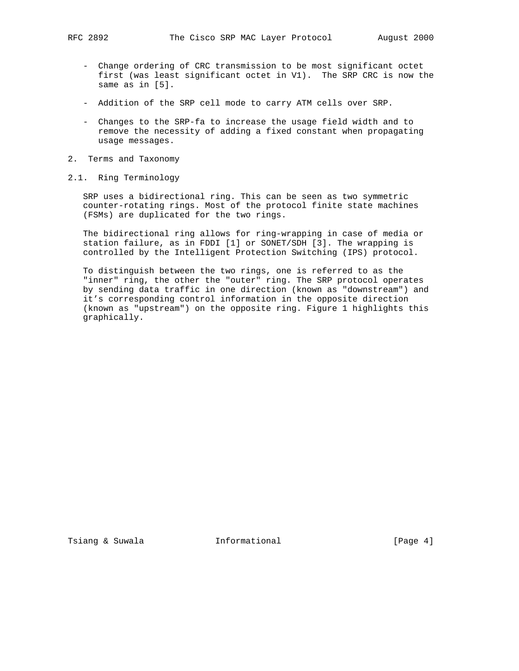- Change ordering of CRC transmission to be most significant octet first (was least significant octet in V1). The SRP CRC is now the same as in [5].
- Addition of the SRP cell mode to carry ATM cells over SRP.
- Changes to the SRP-fa to increase the usage field width and to remove the necessity of adding a fixed constant when propagating usage messages.
- 2. Terms and Taxonomy
- 2.1. Ring Terminology

 SRP uses a bidirectional ring. This can be seen as two symmetric counter-rotating rings. Most of the protocol finite state machines (FSMs) are duplicated for the two rings.

 The bidirectional ring allows for ring-wrapping in case of media or station failure, as in FDDI [1] or SONET/SDH [3]. The wrapping is controlled by the Intelligent Protection Switching (IPS) protocol.

 To distinguish between the two rings, one is referred to as the "inner" ring, the other the "outer" ring. The SRP protocol operates by sending data traffic in one direction (known as "downstream") and it's corresponding control information in the opposite direction (known as "upstream") on the opposite ring. Figure 1 highlights this graphically.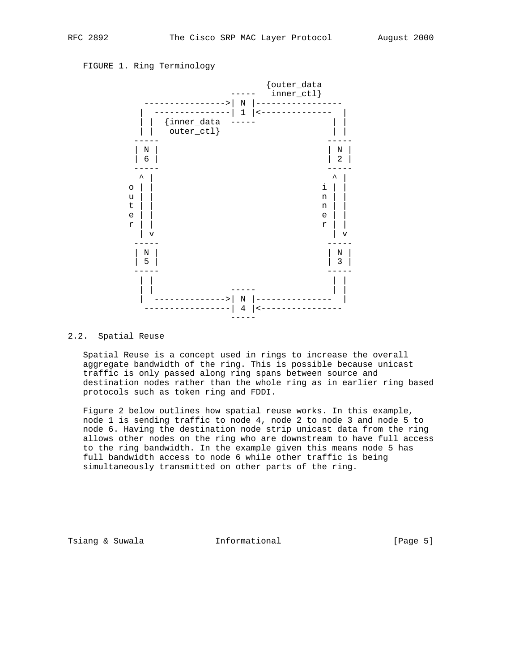## FIGURE 1. Ring Terminology



#### 2.2. Spatial Reuse

 Spatial Reuse is a concept used in rings to increase the overall aggregate bandwidth of the ring. This is possible because unicast traffic is only passed along ring spans between source and destination nodes rather than the whole ring as in earlier ring based protocols such as token ring and FDDI.

 Figure 2 below outlines how spatial reuse works. In this example, node 1 is sending traffic to node 4, node 2 to node 3 and node 5 to node 6. Having the destination node strip unicast data from the ring allows other nodes on the ring who are downstream to have full access to the ring bandwidth. In the example given this means node 5 has full bandwidth access to node 6 while other traffic is being simultaneously transmitted on other parts of the ring.

Tsiang & Suwala **Informational** 10 (Page 5)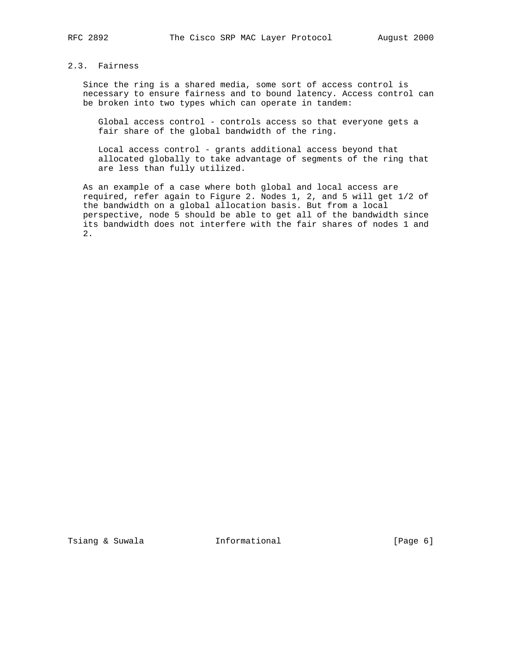## 2.3. Fairness

 Since the ring is a shared media, some sort of access control is necessary to ensure fairness and to bound latency. Access control can be broken into two types which can operate in tandem:

 Global access control - controls access so that everyone gets a fair share of the global bandwidth of the ring.

 Local access control - grants additional access beyond that allocated globally to take advantage of segments of the ring that are less than fully utilized.

 As an example of a case where both global and local access are required, refer again to Figure 2. Nodes 1, 2, and 5 will get 1/2 of the bandwidth on a global allocation basis. But from a local perspective, node 5 should be able to get all of the bandwidth since its bandwidth does not interfere with the fair shares of nodes 1 and 2.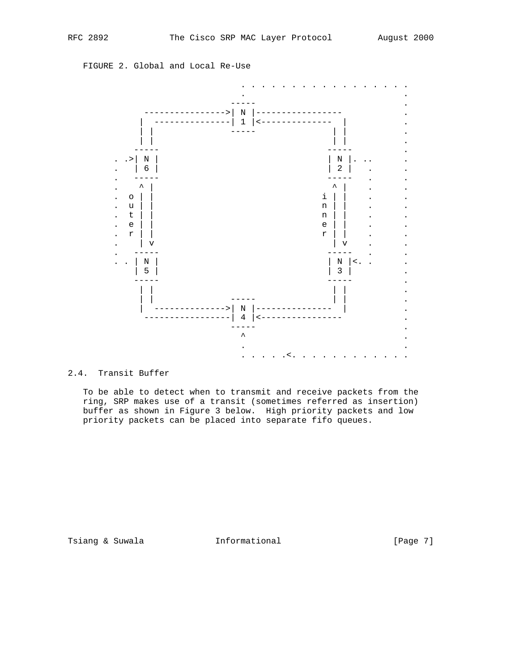FIGURE 2. Global and Local Re-Use



### 2.4. Transit Buffer

 To be able to detect when to transmit and receive packets from the ring, SRP makes use of a transit (sometimes referred as insertion) buffer as shown in Figure 3 below. High priority packets and low priority packets can be placed into separate fifo queues.

Tsiang & Suwala **Informational** 10 (Page 7)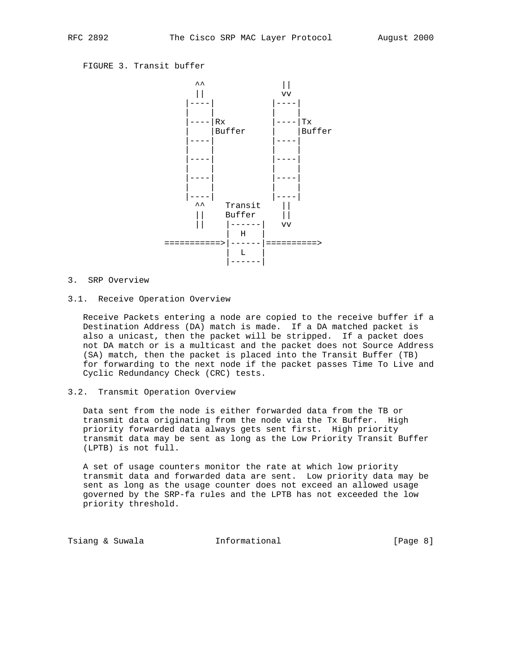FIGURE 3. Transit buffer



## 3. SRP Overview

#### 3.1. Receive Operation Overview

 Receive Packets entering a node are copied to the receive buffer if a Destination Address (DA) match is made. If a DA matched packet is also a unicast, then the packet will be stripped. If a packet does not DA match or is a multicast and the packet does not Source Address (SA) match, then the packet is placed into the Transit Buffer (TB) for forwarding to the next node if the packet passes Time To Live and Cyclic Redundancy Check (CRC) tests.

#### 3.2. Transmit Operation Overview

 Data sent from the node is either forwarded data from the TB or transmit data originating from the node via the Tx Buffer. High priority forwarded data always gets sent first. High priority transmit data may be sent as long as the Low Priority Transit Buffer (LPTB) is not full.

 A set of usage counters monitor the rate at which low priority transmit data and forwarded data are sent. Low priority data may be sent as long as the usage counter does not exceed an allowed usage governed by the SRP-fa rules and the LPTB has not exceeded the low priority threshold.

Tsiang & Suwala **Informational** 10 (Page 8)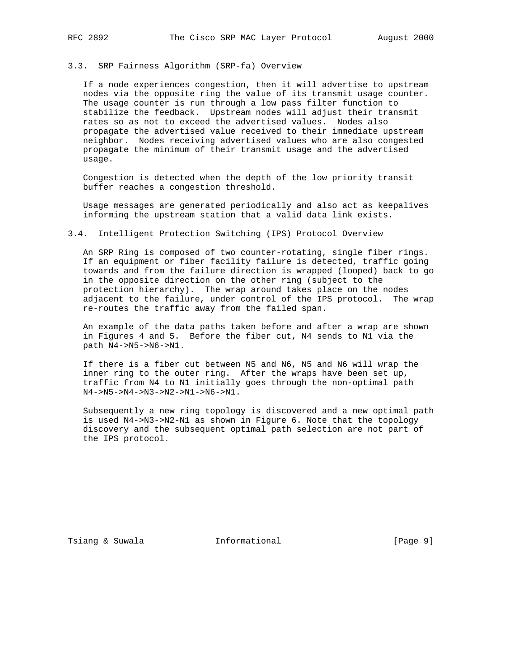#### 3.3. SRP Fairness Algorithm (SRP-fa) Overview

 If a node experiences congestion, then it will advertise to upstream nodes via the opposite ring the value of its transmit usage counter. The usage counter is run through a low pass filter function to stabilize the feedback. Upstream nodes will adjust their transmit rates so as not to exceed the advertised values. Nodes also propagate the advertised value received to their immediate upstream neighbor. Nodes receiving advertised values who are also congested propagate the minimum of their transmit usage and the advertised usage.

 Congestion is detected when the depth of the low priority transit buffer reaches a congestion threshold.

 Usage messages are generated periodically and also act as keepalives informing the upstream station that a valid data link exists.

### 3.4. Intelligent Protection Switching (IPS) Protocol Overview

 An SRP Ring is composed of two counter-rotating, single fiber rings. If an equipment or fiber facility failure is detected, traffic going towards and from the failure direction is wrapped (looped) back to go in the opposite direction on the other ring (subject to the protection hierarchy). The wrap around takes place on the nodes adjacent to the failure, under control of the IPS protocol. The wrap re-routes the traffic away from the failed span.

 An example of the data paths taken before and after a wrap are shown in Figures 4 and 5. Before the fiber cut, N4 sends to N1 via the path N4->N5->N6->N1.

 If there is a fiber cut between N5 and N6, N5 and N6 will wrap the inner ring to the outer ring. After the wraps have been set up, traffic from N4 to N1 initially goes through the non-optimal path N4->N5->N4->N3->N2->N1->N6->N1.

 Subsequently a new ring topology is discovered and a new optimal path is used N4->N3->N2-N1 as shown in Figure 6. Note that the topology discovery and the subsequent optimal path selection are not part of the IPS protocol.

Tsiang & Suwala **Informational** 10 (Page 9)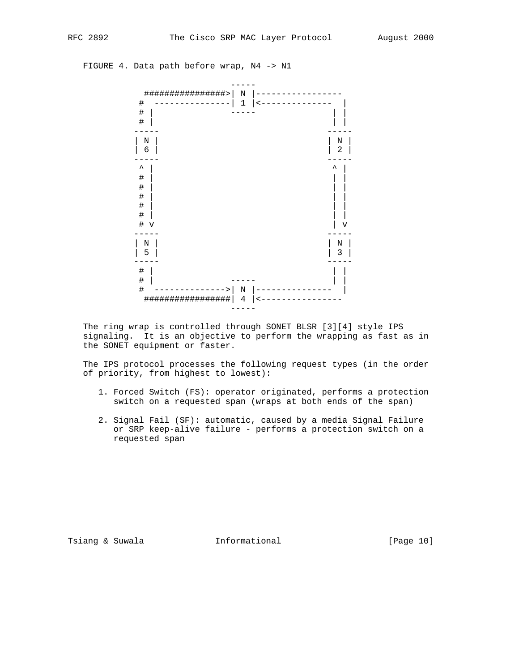FIGURE 4. Data path before wrap, N4 -> N1



 The ring wrap is controlled through SONET BLSR [3][4] style IPS signaling. It is an objective to perform the wrapping as fast as in the SONET equipment or faster.

 The IPS protocol processes the following request types (in the order of priority, from highest to lowest):

- 1. Forced Switch (FS): operator originated, performs a protection switch on a requested span (wraps at both ends of the span)
- 2. Signal Fail (SF): automatic, caused by a media Signal Failure or SRP keep-alive failure - performs a protection switch on a requested span

Tsiang & Suwala **Informational** 10 [Page 10]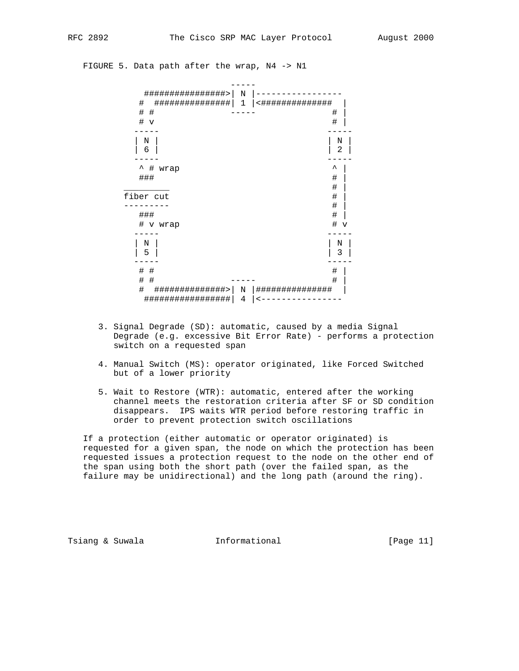### FIGURE 5. Data path after the wrap, N4 -> N1



- 3. Signal Degrade (SD): automatic, caused by a media Signal Degrade (e.g. excessive Bit Error Rate) - performs a protection switch on a requested span
- 4. Manual Switch (MS): operator originated, like Forced Switched but of a lower priority
- 5. Wait to Restore (WTR): automatic, entered after the working channel meets the restoration criteria after SF or SD condition disappears. IPS waits WTR period before restoring traffic in order to prevent protection switch oscillations

 If a protection (either automatic or operator originated) is requested for a given span, the node on which the protection has been requested issues a protection request to the node on the other end of the span using both the short path (over the failed span, as the failure may be unidirectional) and the long path (around the ring).

Tsiang & Suwala **Informational** [Page 11]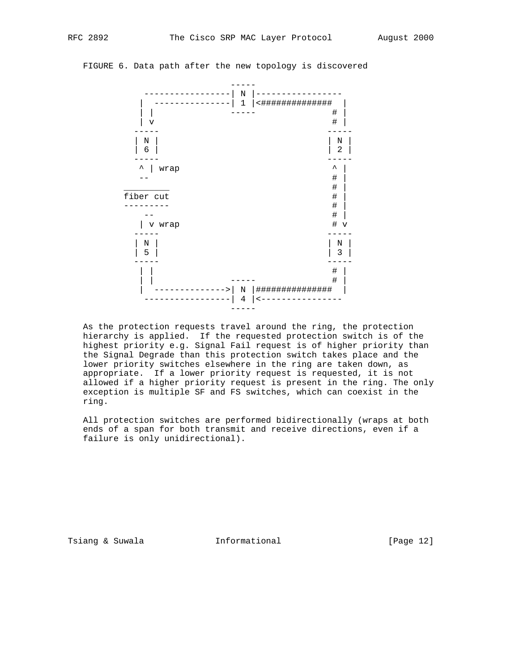



 As the protection requests travel around the ring, the protection hierarchy is applied. If the requested protection switch is of the highest priority e.g. Signal Fail request is of higher priority than the Signal Degrade than this protection switch takes place and the lower priority switches elsewhere in the ring are taken down, as appropriate. If a lower priority request is requested, it is not allowed if a higher priority request is present in the ring. The only exception is multiple SF and FS switches, which can coexist in the ring.

 All protection switches are performed bidirectionally (wraps at both ends of a span for both transmit and receive directions, even if a failure is only unidirectional).

Tsiang & Suwala **Informational** 10 [Page 12]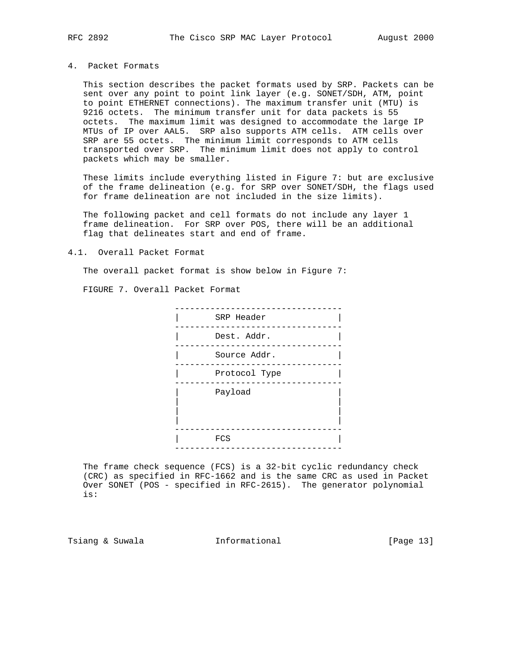### 4. Packet Formats

 This section describes the packet formats used by SRP. Packets can be sent over any point to point link layer (e.g. SONET/SDH, ATM, point to point ETHERNET connections). The maximum transfer unit (MTU) is 9216 octets. The minimum transfer unit for data packets is 55 octets. The maximum limit was designed to accommodate the large IP MTUs of IP over AAL5. SRP also supports ATM cells. ATM cells over SRP are 55 octets. The minimum limit corresponds to ATM cells transported over SRP. The minimum limit does not apply to control packets which may be smaller.

 These limits include everything listed in Figure 7: but are exclusive of the frame delineation (e.g. for SRP over SONET/SDH, the flags used for frame delineation are not included in the size limits).

 The following packet and cell formats do not include any layer 1 frame delineation. For SRP over POS, there will be an additional flag that delineates start and end of frame.

#### 4.1. Overall Packet Format

The overall packet format is show below in Figure 7:

FIGURE 7. Overall Packet Format



 The frame check sequence (FCS) is a 32-bit cyclic redundancy check (CRC) as specified in RFC-1662 and is the same CRC as used in Packet Over SONET (POS - specified in RFC-2615). The generator polynomial is:

Tsiang & Suwala **Informational** [Page 13]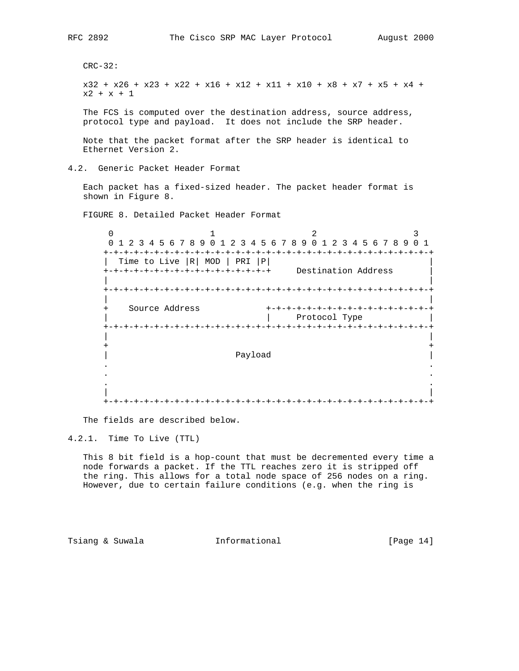CRC-32:

 x32 + x26 + x23 + x22 + x16 + x12 + x11 + x10 + x8 + x7 + x5 + x4 +  $x2 + x + 1$ 

 The FCS is computed over the destination address, source address, protocol type and payload. It does not include the SRP header.

 Note that the packet format after the SRP header is identical to Ethernet Version 2.

4.2. Generic Packet Header Format

 Each packet has a fixed-sized header. The packet header format is shown in Figure 8.

FIGURE 8. Detailed Packet Header Format

 $0$  1 2 3 0 1 2 3 4 5 6 7 8 9 0 1 2 3 4 5 6 7 8 9 0 1 2 3 4 5 6 7 8 9 0 1 +-+-+-+-+-+-+-+-+-+-+-+-+-+-+-+-+-+-+-+-+-+-+-+-+-+-+-+-+-+-+-+-+ | Time to Live  $|R|$  MOD | PRI  $|P|$  +-+-+-+-+-+-+-+-+-+-+-+-+-+-+-+-+ Destination Address | | | +-+-+-+-+-+-+-+-+-+-+-+-+-+-+-+-+-+-+-+-+-+-+-+-+-+-+-+-+-+-+-+-+ | | + Source Address +-+-+-+-+-+-+-+-+-+-+-+-+-+-+-+-+ | | Protocol Type | +-+-+-+-+-+-+-+-+-+-+-+-+-+-+-+-+-+-+-+-+-+-+-+-+-+-+-+-+-+-+-+-+ | | + + | Payload | . . . . . . | | +-+-+-+-+-+-+-+-+-+-+-+-+-+-+-+-+-+-+-+-+-+-+-+-+-+-+-+-+-+-+-+-+

The fields are described below.

4.2.1. Time To Live (TTL)

 This 8 bit field is a hop-count that must be decremented every time a node forwards a packet. If the TTL reaches zero it is stripped off the ring. This allows for a total node space of 256 nodes on a ring. However, due to certain failure conditions (e.g. when the ring is

Tsiang & Suwala **Informational** [Page 14]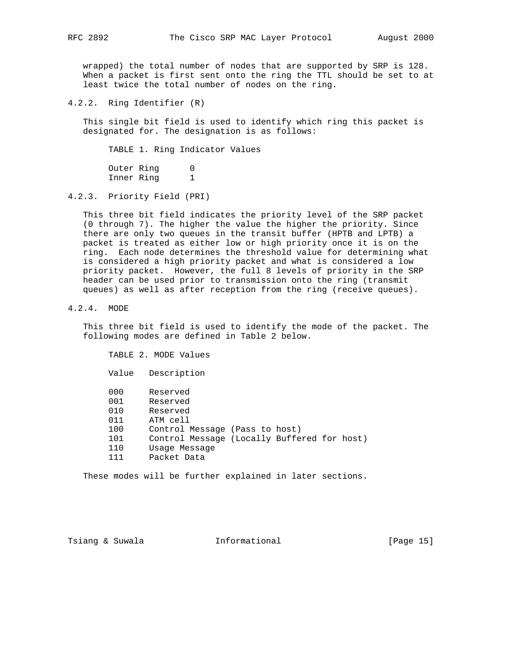wrapped) the total number of nodes that are supported by SRP is 128. When a packet is first sent onto the ring the TTL should be set to at least twice the total number of nodes on the ring.

4.2.2. Ring Identifier (R)

 This single bit field is used to identify which ring this packet is designated for. The designation is as follows:

TABLE 1. Ring Indicator Values

Outer Ring 0 Inner Ring 1

4.2.3. Priority Field (PRI)

 This three bit field indicates the priority level of the SRP packet (0 through 7). The higher the value the higher the priority. Since there are only two queues in the transit buffer (HPTB and LPTB) a packet is treated as either low or high priority once it is on the ring. Each node determines the threshold value for determining what is considered a high priority packet and what is considered a low priority packet. However, the full 8 levels of priority in the SRP header can be used prior to transmission onto the ring (transmit queues) as well as after reception from the ring (receive queues).

4.2.4. MODE

 This three bit field is used to identify the mode of the packet. The following modes are defined in Table 2 below.

 TABLE 2. MODE Values Value Description 000 Reserved 001 Reserved 010 Reserved 011 ATM cell 100 Control Message (Pass to host) 101 Control Message (Locally Buffered for host) Usage Message 111 Packet Data

These modes will be further explained in later sections.

Tsiang & Suwala **Informational** [Page 15]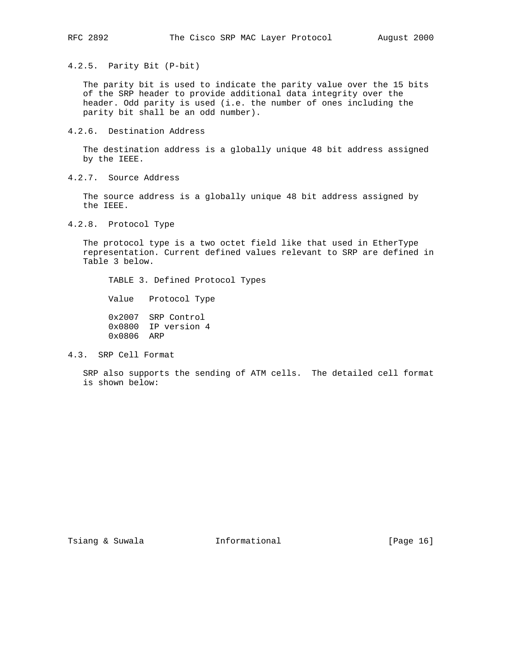4.2.5. Parity Bit (P-bit)

 The parity bit is used to indicate the parity value over the 15 bits of the SRP header to provide additional data integrity over the header. Odd parity is used (i.e. the number of ones including the parity bit shall be an odd number).

4.2.6. Destination Address

 The destination address is a globally unique 48 bit address assigned by the IEEE.

4.2.7. Source Address

 The source address is a globally unique 48 bit address assigned by the IEEE.

4.2.8. Protocol Type

 The protocol type is a two octet field like that used in EtherType representation. Current defined values relevant to SRP are defined in Table 3 below.

TABLE 3. Defined Protocol Types

Value Protocol Type

 0x2007 SRP Control 0x0800 IP version 4 0x0806 ARP

4.3. SRP Cell Format

 SRP also supports the sending of ATM cells. The detailed cell format is shown below:

Tsiang & Suwala **Informational** [Page 16]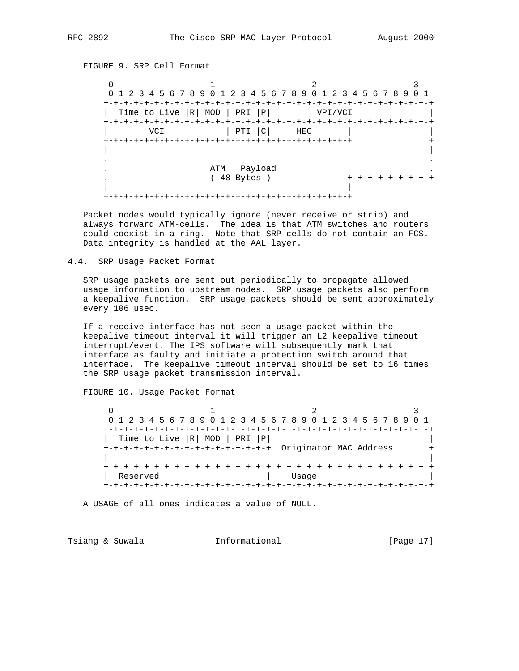FIGURE 9. SRP Cell Format

 $0$  1 2 3 0 1 2 3 4 5 6 7 8 9 0 1 2 3 4 5 6 7 8 9 0 1 2 3 4 5 6 7 8 9 0 1 +-+-+-+-+-+-+-+-+-+-+-+-+-+-+-+-+-+-+-+-+-+-+-+-+-+-+-+-+-+-+-+-+ | Time to Live |R| MOD | PRI |P| VPI/VCI +-+-+-+-+-+-+-+-+-+-+-+-+-+-+-+-+-+-+-+-+-+-+-+-+-+-+-+-+-+-+-+-+ | VCI | PTI | C | HEC | +-+-+-+-+-+-+-+-+-+-+-+-+-+-+-+-+-+-+-+-+-+-+-+-+ + | | . . . ATM Payload . . ( 48 Bytes ) +-+-+-+-+-+-+-+-+ | | +-+-+-+-+-+-+-+-+-+-+-+-+-+-+-+-+-+-+-+-+-+-+-+-+

 Packet nodes would typically ignore (never receive or strip) and always forward ATM-cells. The idea is that ATM switches and routers could coexist in a ring. Note that SRP cells do not contain an FCS. Data integrity is handled at the AAL layer.

4.4. SRP Usage Packet Format

 SRP usage packets are sent out periodically to propagate allowed usage information to upstream nodes. SRP usage packets also perform a keepalive function. SRP usage packets should be sent approximately every 106 usec.

 If a receive interface has not seen a usage packet within the keepalive timeout interval it will trigger an L2 keepalive timeout interrupt/event. The IPS software will subsequently mark that interface as faulty and initiate a protection switch around that interface. The keepalive timeout interval should be set to 16 times the SRP usage packet transmission interval.

FIGURE 10. Usage Packet Format

 $0$  1 2 3 0 1 2 3 4 5 6 7 8 9 0 1 2 3 4 5 6 7 8 9 0 1 2 3 4 5 6 7 8 9 0 1 +-+-+-+-+-+-+-+-+-+-+-+-+-+-+-+-+-+-+-+-+-+-+-+-+-+-+-+-+-+-+-+-+ | Time to Live |R| MOD | PRI |P| | +-+-+-+-+-+-+-+-+-+-+-+-+-+-+-+-+ Originator MAC Address + | | +-+-+-+-+-+-+-+-+-+-+-+-+-+-+-+-+-+-+-+-+-+-+-+-+-+-+-+-+-+-+-+-+ | Reserved | Usage | +-+-+-+-+-+-+-+-+-+-+-+-+-+-+-+-+-+-+-+-+-+-+-+-+-+-+-+-+-+-+-+-+

A USAGE of all ones indicates a value of NULL.

Tsiang & Suwala **Informational** 10 [Page 17]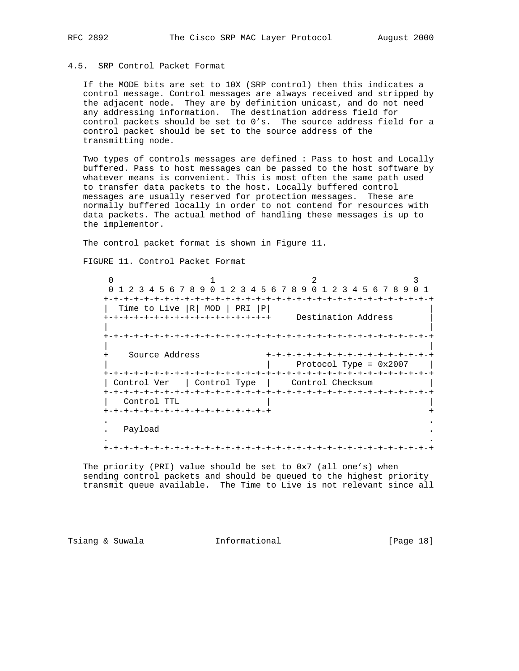## 4.5. SRP Control Packet Format

 If the MODE bits are set to 10X (SRP control) then this indicates a control message. Control messages are always received and stripped by the adjacent node. They are by definition unicast, and do not need any addressing information. The destination address field for control packets should be set to 0's. The source address field for a control packet should be set to the source address of the transmitting node.

 Two types of controls messages are defined : Pass to host and Locally buffered. Pass to host messages can be passed to the host software by whatever means is convenient. This is most often the same path used to transfer data packets to the host. Locally buffered control messages are usually reserved for protection messages. These are normally buffered locally in order to not contend for resources with data packets. The actual method of handling these messages is up to the implementor.

The control packet format is shown in Figure 11.

FIGURE 11. Control Packet Format

 $0$  1 2 3 0 1 2 3 4 5 6 7 8 9 0 1 2 3 4 5 6 7 8 9 0 1 2 3 4 5 6 7 8 9 0 1 +-+-+-+-+-+-+-+-+-+-+-+-+-+-+-+-+-+-+-+-+-+-+-+-+-+-+-+-+-+-+-+-+ | Time to Live |R| MOD | PRI |P| | +-+-+-+-+-+-+-+-+-+-+-+-+-+-+-+-+ Destination Address | | | +-+-+-+-+-+-+-+-+-+-+-+-+-+-+-+-+-+-+-+-+-+-+-+-+-+-+-+-+-+-+-+-+ | | + Source Address +-+-+-+-+-+-+-+-+-+-+-+-+-+-+-+-+  $|$  Protocol Type =  $0x2007$  | +-+-+-+-+-+-+-+-+-+-+-+-+-+-+-+-+-+-+-+-+-+-+-+-+-+-+-+-+-+-+-+-+ | Control Ver | Control Type | Control Checksum | +-+-+-+-+-+-+-+-+-+-+-+-+-+-+-+-+-+-+-+-+-+-+-+-+-+-+-+-+-+-+-+-+ Control TTL +-+-+-+-+-+-+-+-+-+-+-+-+-+-+-+-+ + . . . Payload . . . +-+-+-+-+-+-+-+-+-+-+-+-+-+-+-+-+-+-+-+-+-+-+-+-+-+-+-+-+-+-+-+-+

 The priority (PRI) value should be set to 0x7 (all one's) when sending control packets and should be queued to the highest priority transmit queue available. The Time to Live is not relevant since all

Tsiang & Suwala **Informational** [Page 18]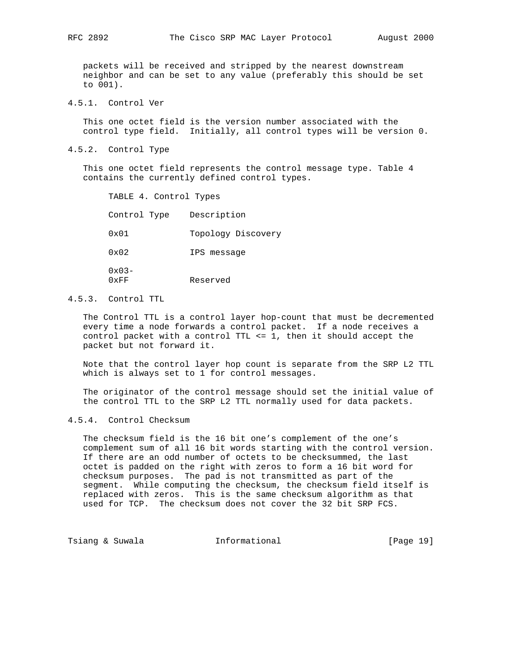packets will be received and stripped by the nearest downstream neighbor and can be set to any value (preferably this should be set to 001).

4.5.1. Control Ver

 This one octet field is the version number associated with the control type field. Initially, all control types will be version 0.

4.5.2. Control Type

 This one octet field represents the control message type. Table 4 contains the currently defined control types.

 TABLE 4. Control Types Control Type Description 0x01 Topology Discovery 0x02 IPS message 0x03- 0xFF Reserved

## 4.5.3. Control TTL

 The Control TTL is a control layer hop-count that must be decremented every time a node forwards a control packet. If a node receives a control packet with a control TTL <= 1, then it should accept the packet but not forward it.

 Note that the control layer hop count is separate from the SRP L2 TTL which is always set to 1 for control messages.

 The originator of the control message should set the initial value of the control TTL to the SRP L2 TTL normally used for data packets.

4.5.4. Control Checksum

 The checksum field is the 16 bit one's complement of the one's complement sum of all 16 bit words starting with the control version. If there are an odd number of octets to be checksummed, the last octet is padded on the right with zeros to form a 16 bit word for checksum purposes. The pad is not transmitted as part of the segment. While computing the checksum, the checksum field itself is replaced with zeros. This is the same checksum algorithm as that used for TCP. The checksum does not cover the 32 bit SRP FCS.

Tsiang & Suwala **Informational** 10 [Page 19]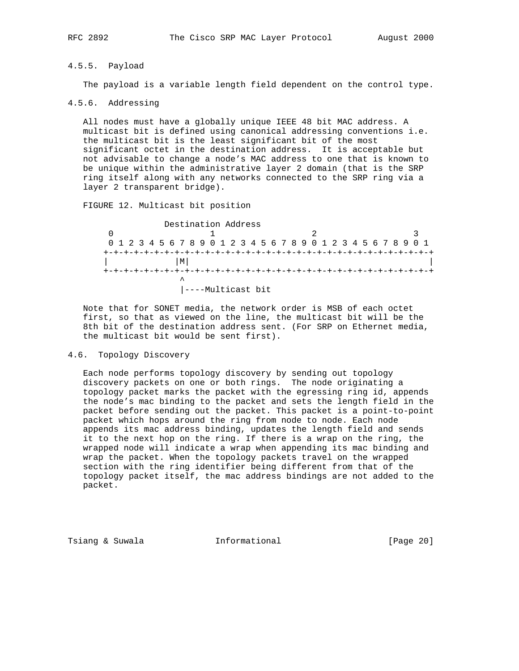## 4.5.5. Payload

The payload is a variable length field dependent on the control type.

#### 4.5.6. Addressing

 All nodes must have a globally unique IEEE 48 bit MAC address. A multicast bit is defined using canonical addressing conventions i.e. the multicast bit is the least significant bit of the most significant octet in the destination address. It is acceptable but not advisable to change a node's MAC address to one that is known to be unique within the administrative layer 2 domain (that is the SRP ring itself along with any networks connected to the SRP ring via a layer 2 transparent bridge).

FIGURE 12. Multicast bit position

 Destination Address 0 1 2 3 0 1 2 3 4 5 6 7 8 9 0 1 2 3 4 5 6 7 8 9 0 1 2 3 4 5 6 7 8 9 0 1 +-+-+-+-+-+-+-+-+-+-+-+-+-+-+-+-+-+-+-+-+-+-+-+-+-+-+-+-+-+-+-+-+  $|\mathbf{M}|$  +-+-+-+-+-+-+-+-+-+-+-+-+-+-+-+-+-+-+-+-+-+-+-+-+-+-+-+-+-+-+-+-+ ^ |----Multicast bit

 Note that for SONET media, the network order is MSB of each octet first, so that as viewed on the line, the multicast bit will be the 8th bit of the destination address sent. (For SRP on Ethernet media, the multicast bit would be sent first).

#### 4.6. Topology Discovery

 Each node performs topology discovery by sending out topology discovery packets on one or both rings. The node originating a topology packet marks the packet with the egressing ring id, appends the node's mac binding to the packet and sets the length field in the packet before sending out the packet. This packet is a point-to-point packet which hops around the ring from node to node. Each node appends its mac address binding, updates the length field and sends it to the next hop on the ring. If there is a wrap on the ring, the wrapped node will indicate a wrap when appending its mac binding and wrap the packet. When the topology packets travel on the wrapped section with the ring identifier being different from that of the topology packet itself, the mac address bindings are not added to the packet.

Tsiang & Suwala **Informational** 10 (Page 20)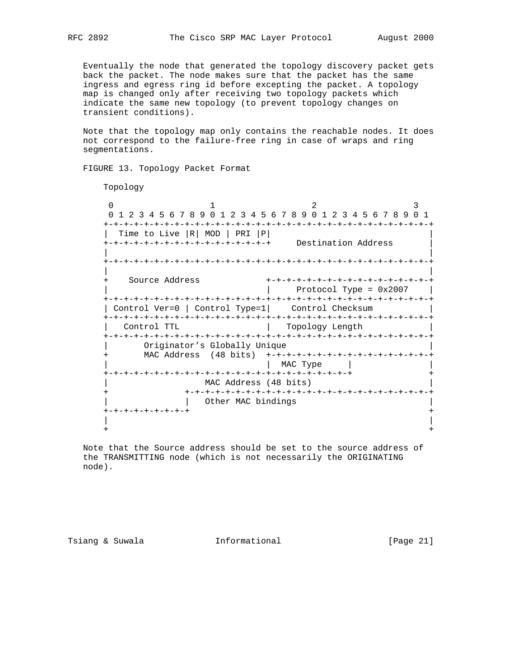Eventually the node that generated the topology discovery packet gets back the packet. The node makes sure that the packet has the same ingress and egress ring id before excepting the packet. A topology map is changed only after receiving two topology packets which indicate the same new topology (to prevent topology changes on transient conditions).

 Note that the topology map only contains the reachable nodes. It does not correspond to the failure-free ring in case of wraps and ring segmentations.

FIGURE 13. Topology Packet Format

Topology

 $\begin{array}{ccccccc} 0 & & & & 1 & & & & 2 & & & 3 \end{array}$  0 1 2 3 4 5 6 7 8 9 0 1 2 3 4 5 6 7 8 9 0 1 2 3 4 5 6 7 8 9 0 1 +-+-+-+-+-+-+-+-+-+-+-+-+-+-+-+-+-+-+-+-+-+-+-+-+-+-+-+-+-+-+-+-+ | Time to Live |R| MOD | PRI |P| | +-+-+-+-+-+-+-+-+-+-+-+-+-+-+-+-+ Destination Address | | | +-+-+-+-+-+-+-+-+-+-+-+-+-+-+-+-+-+-+-+-+-+-+-+-+-+-+-+-+-+-+-+-+ | | + Source Address +-+-+-+-+-+-+-+-+-+-+-+-+-+-+-+-+ | | Protocol Type = 0x2007 | +-+-+-+-+-+-+-+-+-+-+-+-+-+-+-+-+-+-+-+-+-+-+-+-+-+-+-+-+-+-+-+-+ | Control Ver=0 | Control Type=1| Control Checksum +-+-+-+-+-+-+-+-+-+-+-+-+-+-+-+-+-+-+-+-+-+-+-+-+-+-+-+-+-+-+-+-+ | Control TTL | Topology Length | +-+-+-+-+-+-+-+-+-+-+-+-+-+-+-+-+-+-+-+-+-+-+-+-+-+-+-+-+-+-+-+-+ Originator's Globally Unique + MAC Address (48 bits) +-+-+-+-+-+-+-+-+-+-+-+-+-+-+-+-+ | | MAC Type | | +-+-+-+-+-+-+-+-+-+-+-+-+-+-+-+-+-+-+-+-+-+-+-+-+ + MAC Address (48 bits) + +-+-+-+-+-+-+-+-+-+-+-+-+-+-+-+-+-+-+-+-+-+-+-+-+ | Other MAC bindings +-+-+-+-+-+-+-+-+ + | | + +

 Note that the Source address should be set to the source address of the TRANSMITTING node (which is not necessarily the ORIGINATING node).

Tsiang & Suwala **Informational** [Page 21]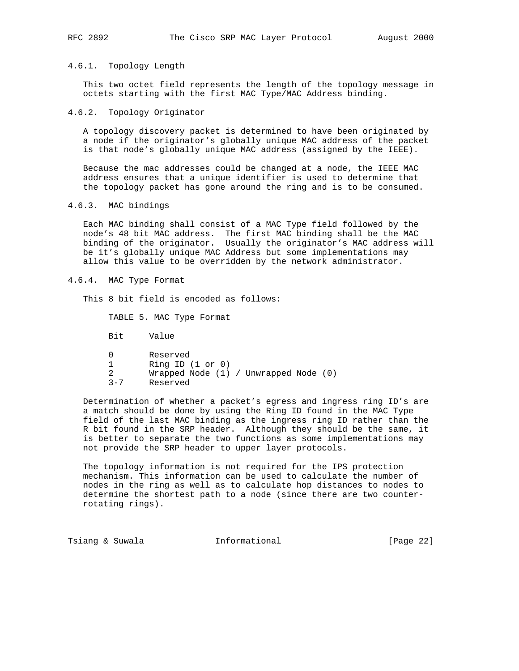#### 4.6.1. Topology Length

 This two octet field represents the length of the topology message in octets starting with the first MAC Type/MAC Address binding.

#### 4.6.2. Topology Originator

 A topology discovery packet is determined to have been originated by a node if the originator's globally unique MAC address of the packet is that node's globally unique MAC address (assigned by the IEEE).

 Because the mac addresses could be changed at a node, the IEEE MAC address ensures that a unique identifier is used to determine that the topology packet has gone around the ring and is to be consumed.

4.6.3. MAC bindings

 Each MAC binding shall consist of a MAC Type field followed by the node's 48 bit MAC address. The first MAC binding shall be the MAC binding of the originator. Usually the originator's MAC address will be it's globally unique MAC Address but some implementations may allow this value to be overridden by the network administrator.

4.6.4. MAC Type Format

This 8 bit field is encoded as follows:

TABLE 5. MAC Type Format

Bit Value

|         | Reserved                                  |
|---------|-------------------------------------------|
|         | Ring ID $(1 \text{ or } 0)$               |
|         | Wrapped Node $(1)$ / Unwrapped Node $(0)$ |
| $3 - 7$ | Reserved                                  |

 Determination of whether a packet's egress and ingress ring ID's are a match should be done by using the Ring ID found in the MAC Type field of the last MAC binding as the ingress ring ID rather than the R bit found in the SRP header. Although they should be the same, it is better to separate the two functions as some implementations may not provide the SRP header to upper layer protocols.

 The topology information is not required for the IPS protection mechanism. This information can be used to calculate the number of nodes in the ring as well as to calculate hop distances to nodes to determine the shortest path to a node (since there are two counter rotating rings).

Tsiang & Suwala **Informational** 10 (Page 22)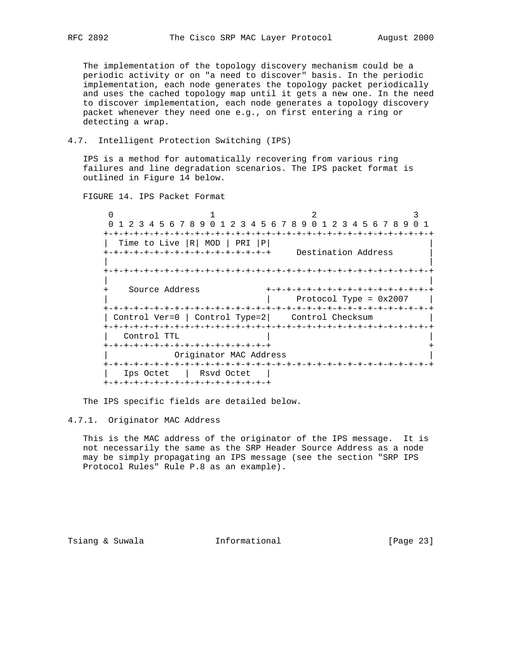The implementation of the topology discovery mechanism could be a periodic activity or on "a need to discover" basis. In the periodic implementation, each node generates the topology packet periodically and uses the cached topology map until it gets a new one. In the need to discover implementation, each node generates a topology discovery packet whenever they need one e.g., on first entering a ring or detecting a wrap.

4.7. Intelligent Protection Switching (IPS)

 IPS is a method for automatically recovering from various ring failures and line degradation scenarios. The IPS packet format is outlined in Figure 14 below.

FIGURE 14. IPS Packet Format

 $0$  1 2 3 0 1 2 3 4 5 6 7 8 9 0 1 2 3 4 5 6 7 8 9 0 1 2 3 4 5 6 7 8 9 0 1 +-+-+-+-+-+-+-+-+-+-+-+-+-+-+-+-+-+-+-+-+-+-+-+-+-+-+-+-+-+-+-+-+ | Time to Live  $|R|$  MOD | PRI  $|P|$  +-+-+-+-+-+-+-+-+-+-+-+-+-+-+-+-+ Destination Address | | | +-+-+-+-+-+-+-+-+-+-+-+-+-+-+-+-+-+-+-+-+-+-+-+-+-+-+-+-+-+-+-+-+ | | + Source Address +-+-+-+-+-+-+-+-+-+-+-+-+-+-+-+-+ | | Protocol Type = 0x2007 | +-+-+-+-+-+-+-+-+-+-+-+-+-+-+-+-+-+-+-+-+-+-+-+-+-+-+-+-+-+-+-+-+ | Control Ver=0 | Control Type=2| Control Checksum | +-+-+-+-+-+-+-+-+-+-+-+-+-+-+-+-+-+-+-+-+-+-+-+-+-+-+-+-+-+-+-+-+ Control TTL +-+-+-+-+-+-+-+-+-+-+-+-+-+-+-+-+ + Originator MAC Address +-+-+-+-+-+-+-+-+-+-+-+-+-+-+-+-+-+-+-+-+-+-+-+-+-+-+-+-+-+-+-+-+ | Ips Octet | Rsvd Octet | +-+-+-+-+-+-+-+-+-+-+-+-+-+-+-+-+

The IPS specific fields are detailed below.

#### 4.7.1. Originator MAC Address

 This is the MAC address of the originator of the IPS message. It is not necessarily the same as the SRP Header Source Address as a node may be simply propagating an IPS message (see the section "SRP IPS Protocol Rules" Rule P.8 as an example).

Tsiang & Suwala **Informational** 10 [Page 23]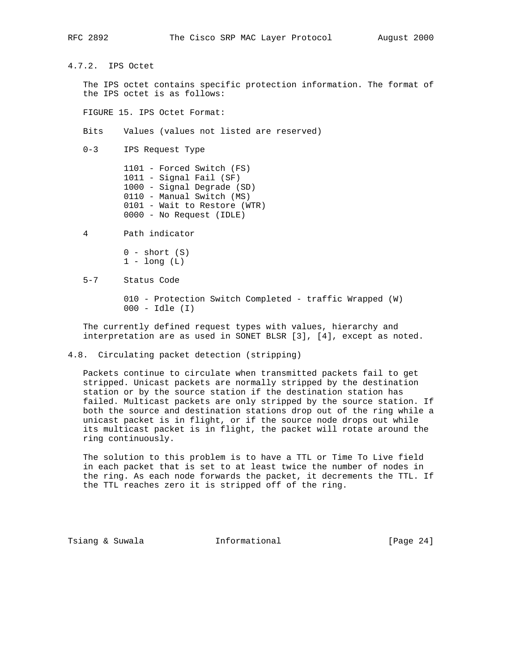4.7.2. IPS Octet

 The IPS octet contains specific protection information. The format of the IPS octet is as follows:

FIGURE 15. IPS Octet Format:

Bits Values (values not listed are reserved)

0-3 IPS Request Type

 1101 - Forced Switch (FS) 1011 - Signal Fail (SF) 1000 - Signal Degrade (SD) 0110 - Manual Switch (MS) 0101 - Wait to Restore (WTR) 0000 - No Request (IDLE)

4 Path indicator

 $0 - short (S)$  $1 - long (L)$ 

5-7 Status Code

 010 - Protection Switch Completed - traffic Wrapped (W) 000 - Idle (I)

 The currently defined request types with values, hierarchy and interpretation are as used in SONET BLSR [3], [4], except as noted.

4.8. Circulating packet detection (stripping)

 Packets continue to circulate when transmitted packets fail to get stripped. Unicast packets are normally stripped by the destination station or by the source station if the destination station has failed. Multicast packets are only stripped by the source station. If both the source and destination stations drop out of the ring while a unicast packet is in flight, or if the source node drops out while its multicast packet is in flight, the packet will rotate around the ring continuously.

 The solution to this problem is to have a TTL or Time To Live field in each packet that is set to at least twice the number of nodes in the ring. As each node forwards the packet, it decrements the TTL. If the TTL reaches zero it is stripped off of the ring.

Tsiang & Suwala **Informational** [Page 24]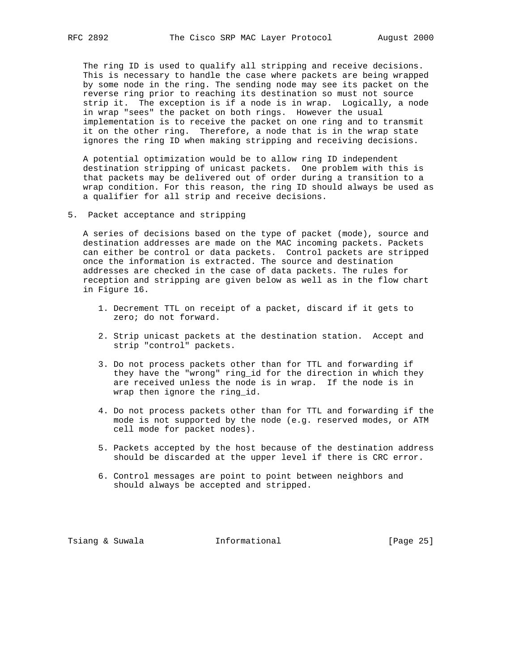The ring ID is used to qualify all stripping and receive decisions. This is necessary to handle the case where packets are being wrapped by some node in the ring. The sending node may see its packet on the reverse ring prior to reaching its destination so must not source strip it. The exception is if a node is in wrap. Logically, a node in wrap "sees" the packet on both rings. However the usual implementation is to receive the packet on one ring and to transmit it on the other ring. Therefore, a node that is in the wrap state ignores the ring ID when making stripping and receiving decisions.

 A potential optimization would be to allow ring ID independent destination stripping of unicast packets. One problem with this is that packets may be delivered out of order during a transition to a wrap condition. For this reason, the ring ID should always be used as a qualifier for all strip and receive decisions.

5. Packet acceptance and stripping

 A series of decisions based on the type of packet (mode), source and destination addresses are made on the MAC incoming packets. Packets can either be control or data packets. Control packets are stripped once the information is extracted. The source and destination addresses are checked in the case of data packets. The rules for reception and stripping are given below as well as in the flow chart in Figure 16.

- 1. Decrement TTL on receipt of a packet, discard if it gets to zero; do not forward.
- 2. Strip unicast packets at the destination station. Accept and strip "control" packets.
- 3. Do not process packets other than for TTL and forwarding if they have the "wrong" ring\_id for the direction in which they are received unless the node is in wrap. If the node is in wrap then ignore the ring\_id.
- 4. Do not process packets other than for TTL and forwarding if the mode is not supported by the node (e.g. reserved modes, or ATM cell mode for packet nodes).
- 5. Packets accepted by the host because of the destination address should be discarded at the upper level if there is CRC error.
- 6. Control messages are point to point between neighbors and should always be accepted and stripped.

Tsiang & Suwala **Informational** [Page 25]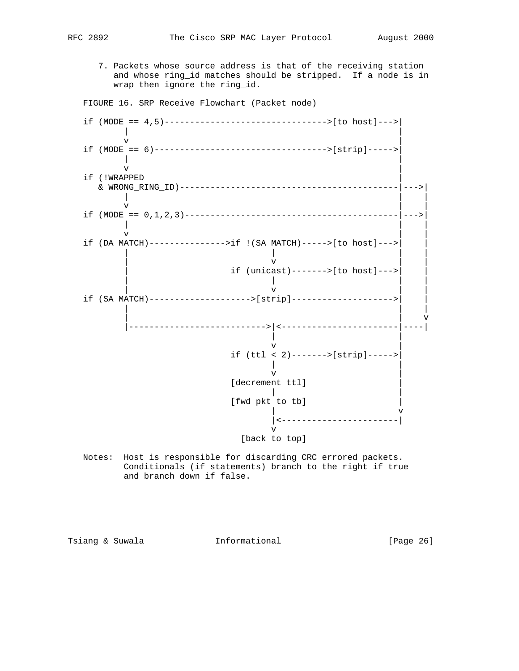- - 7. Packets whose source address is that of the receiving station and whose ring\_id matches should be stripped. If a node is in wrap then ignore the ring\_id.

FIGURE 16. SRP Receive Flowchart (Packet node)



 Notes: Host is responsible for discarding CRC errored packets. Conditionals (if statements) branch to the right if true and branch down if false.

Tsiang & Suwala **Informational** 10 (Page 26)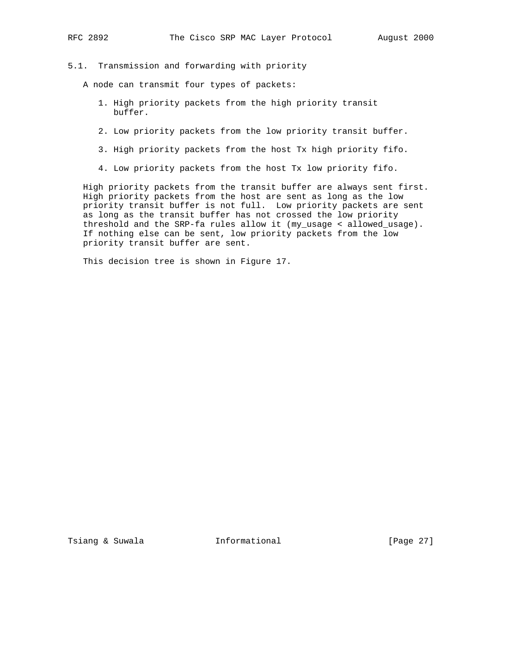## 5.1. Transmission and forwarding with priority

A node can transmit four types of packets:

- 1. High priority packets from the high priority transit buffer.
- 2. Low priority packets from the low priority transit buffer.
- 3. High priority packets from the host Tx high priority fifo.
- 4. Low priority packets from the host Tx low priority fifo.

 High priority packets from the transit buffer are always sent first. High priority packets from the host are sent as long as the low priority transit buffer is not full. Low priority packets are sent as long as the transit buffer has not crossed the low priority threshold and the SRP-fa rules allow it (my\_usage < allowed\_usage). If nothing else can be sent, low priority packets from the low priority transit buffer are sent.

This decision tree is shown in Figure 17.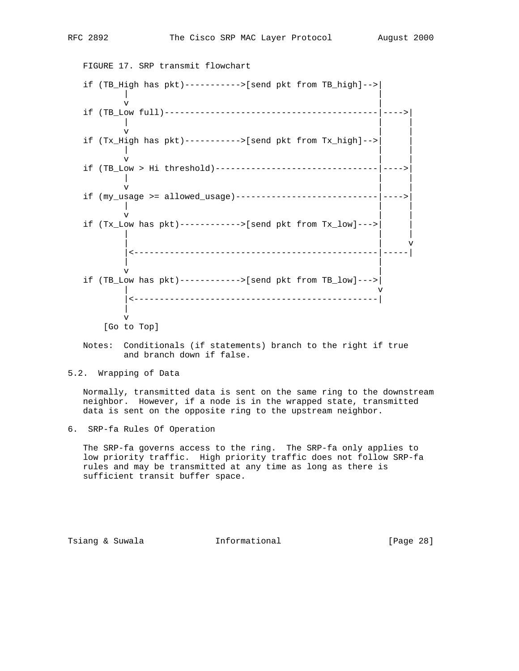FIGURE 17. SRP transmit flowchart  $\begin{array}{c} \texttt{if (TB\_High has pkt)-----} \\ \mid \\ \end{array}$  | |  $\mathbf v$  |  $\mathbf v$  |  $\mathbf v$  |  $\mathbf v$  |  $\mathbf v$  |  $\mathbf v$  |  $\mathbf v$  |  $\mathbf v$  |  $\mathbf v$  |  $\mathbf v$  |  $\mathbf v$  |  $\mathbf v$  |  $\mathbf v$  |  $\mathbf v$  |  $\mathbf v$  |  $\mathbf v$  |  $\mathbf v$  |  $\mathbf v$  |  $\mathbf v$  |  $\mathbf v$  |  $\mathbf v$  |  $\mathbf v$  |  $\mathbf v$  |  $\mathbf v$  |  $\mathbf v$  if (TB\_Low full)------------------------------------------|---->| | | | v | | if (Tx\_High has pkt)----------->[send pkt from Tx\_high]-->| | | | | v | | if (TB\_Low > Hi threshold)--------------------------------|---->| | | | v | | if (my\_usage >= allowed\_usage)----------------------------|---->| | | | v | | if (Tx\_Low has pkt)------------>[send pkt from Tx\_low]--->| | | | | | | v |<------------------------------------------------|-----| | |  $\mathbf v$  |  $\mathbf v$  |  $\mathbf v$  |  $\mathbf v$  |  $\mathbf v$  |  $\mathbf v$  |  $\mathbf v$  |  $\mathbf v$  |  $\mathbf v$  |  $\mathbf v$  |  $\mathbf v$  |  $\mathbf v$  |  $\mathbf v$  |  $\mathbf v$  |  $\mathbf v$  |  $\mathbf v$  |  $\mathbf v$  |  $\mathbf v$  |  $\mathbf v$  |  $\mathbf v$  |  $\mathbf v$  |  $\mathbf v$  |  $\mathbf v$  |  $\mathbf v$  |  $\mathbf v$  if (TB\_Low has pkt)------------>[send pkt from TB\_low]--->| | v |<------------------------------------------------| | v [Go to Top]

 Notes: Conditionals (if statements) branch to the right if true and branch down if false.

5.2. Wrapping of Data

 Normally, transmitted data is sent on the same ring to the downstream neighbor. However, if a node is in the wrapped state, transmitted data is sent on the opposite ring to the upstream neighbor.

6. SRP-fa Rules Of Operation

 The SRP-fa governs access to the ring. The SRP-fa only applies to low priority traffic. High priority traffic does not follow SRP-fa rules and may be transmitted at any time as long as there is sufficient transit buffer space.

Tsiang & Suwala **Informational** [Page 28]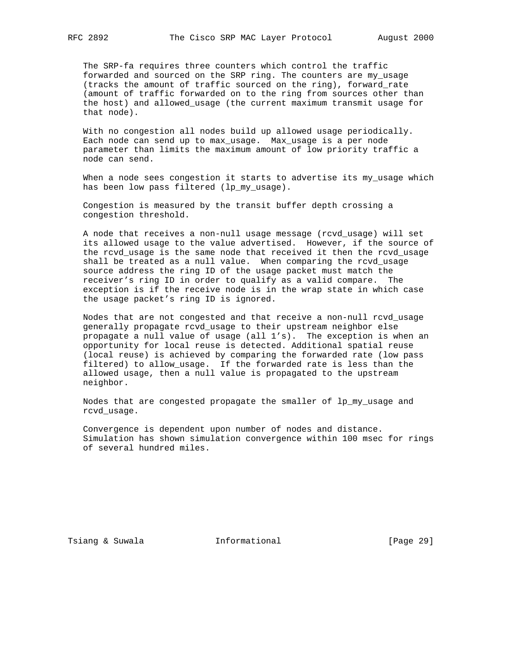The SRP-fa requires three counters which control the traffic forwarded and sourced on the SRP ring. The counters are my\_usage (tracks the amount of traffic sourced on the ring), forward\_rate (amount of traffic forwarded on to the ring from sources other than the host) and allowed\_usage (the current maximum transmit usage for that node).

 With no congestion all nodes build up allowed usage periodically. Each node can send up to max\_usage. Max\_usage is a per node parameter than limits the maximum amount of low priority traffic a node can send.

When a node sees congestion it starts to advertise its my\_usage which has been low pass filtered (lp\_my\_usage).

 Congestion is measured by the transit buffer depth crossing a congestion threshold.

 A node that receives a non-null usage message (rcvd\_usage) will set its allowed usage to the value advertised. However, if the source of the rcvd\_usage is the same node that received it then the rcvd\_usage shall be treated as a null value. When comparing the rcvd\_usage source address the ring ID of the usage packet must match the receiver's ring ID in order to qualify as a valid compare. The exception is if the receive node is in the wrap state in which case the usage packet's ring ID is ignored.

 Nodes that are not congested and that receive a non-null rcvd\_usage generally propagate rcvd\_usage to their upstream neighbor else propagate a null value of usage (all 1's). The exception is when an opportunity for local reuse is detected. Additional spatial reuse (local reuse) is achieved by comparing the forwarded rate (low pass filtered) to allow\_usage. If the forwarded rate is less than the allowed usage, then a null value is propagated to the upstream neighbor.

 Nodes that are congested propagate the smaller of lp\_my\_usage and rcvd\_usage.

 Convergence is dependent upon number of nodes and distance. Simulation has shown simulation convergence within 100 msec for rings of several hundred miles.

Tsiang & Suwala **Informational** 10 (Page 29)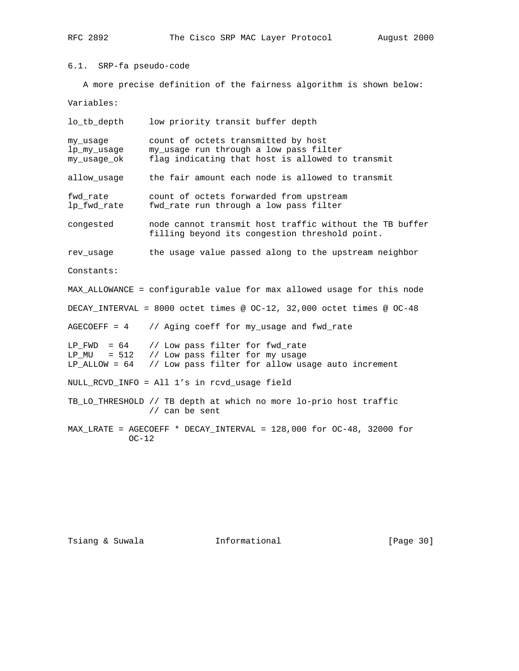6.1. SRP-fa pseudo-code

A more precise definition of the fairness algorithm is shown below:

Variables:

| lo_tb_depth                                                                     | low priority transit buffer depth                                                                                                 |  |  |  |
|---------------------------------------------------------------------------------|-----------------------------------------------------------------------------------------------------------------------------------|--|--|--|
| my_usage<br>lp_my_usage<br>my_usage_ok                                          | count of octets transmitted by host<br>my_usage run through a low pass filter<br>flag indicating that host is allowed to transmit |  |  |  |
| allow_usage                                                                     | the fair amount each node is allowed to transmit                                                                                  |  |  |  |
| fwd rate<br>lp_fwd_rate                                                         | count of octets forwarded from upstream<br>fwd_rate run through a low pass filter                                                 |  |  |  |
| congested                                                                       | node cannot transmit host traffic without the TB buffer<br>filling beyond its congestion threshold point.                         |  |  |  |
| rev usage                                                                       | the usage value passed along to the upstream neighbor                                                                             |  |  |  |
| Constants:                                                                      |                                                                                                                                   |  |  |  |
| MAX_ALLOWANCE = configurable value for max allowed usage for this node          |                                                                                                                                   |  |  |  |
| DECAY_INTERVAL = 8000 octet times @ OC-12, 32,000 octet times @ OC-48           |                                                                                                                                   |  |  |  |
| $AGECOEFF = 4$                                                                  | // Aging coeff for my_usage and fwd_rate                                                                                          |  |  |  |
| $LP$ FWD = 64<br>$LP_MU = 512$<br>$LP$ ALLOW = 64                               | // Low pass filter for fwd_rate<br>// Low pass filter for my usage<br>// Low pass filter for allow usage auto increment           |  |  |  |
| NULL_RCVD_INFO = All 1's in rcvd_usage field                                    |                                                                                                                                   |  |  |  |
|                                                                                 | TB_LO_THRESHOLD // TB depth at which no more lo-prio host traffic<br>// can be sent                                               |  |  |  |
| MAX_LRATE = AGECOEFF * DECAY_INTERVAL = 128,000 for OC-48, 32000 for<br>$OC-12$ |                                                                                                                                   |  |  |  |

Tsiang & Suwala **Informational** 111 [Page 30]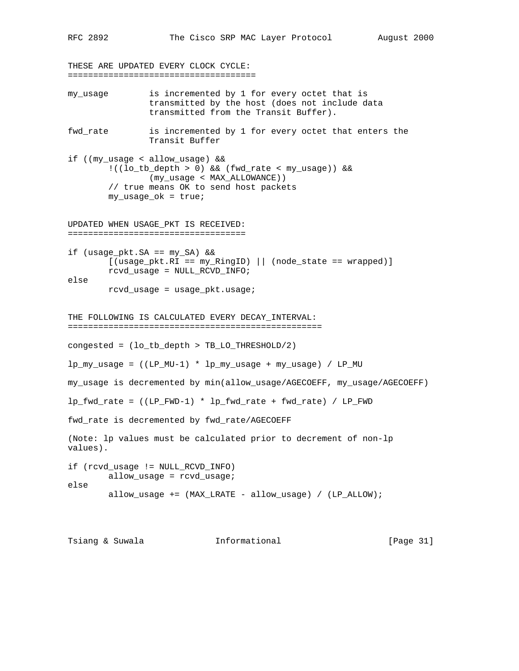THESE ARE UPDATED EVERY CLOCK CYCLE: ===================================== my\_usage is incremented by 1 for every octet that is transmitted by the host (does not include data transmitted from the Transit Buffer). fwd\_rate is incremented by 1 for every octet that enters the Transit Buffer if ((my\_usage < allow\_usage) && !((lo\_tb\_depth > 0) && (fwd\_rate < my\_usage)) && (my\_usage < MAX\_ALLOWANCE)) // true means OK to send host packets my\_usage\_ok = true; UPDATED WHEN USAGE\_PKT IS RECEIVED: =================================== if (usage\_pkt.SA == my\_SA) &&  $[$  (usage\_pkt.RI ==  $my_RingID)$  || (node\_state == wrapped)] rcvd\_usage = NULL\_RCVD\_INFO; else rcvd\_usage = usage\_pkt.usage; THE FOLLOWING IS CALCULATED EVERY DECAY\_INTERVAL: ================================================== congested = (lo\_tb\_depth > TB\_LO\_THRESHOLD/2)  $lp_my_l$ usage =  $((LP_MU-1) * lp_my_l)$ usage + my $_l$ usage) /  $LP_MU$ 

my\_usage is decremented by min(allow\_usage/AGECOEFF, my\_usage/AGECOEFF)

lp\_fwd\_rate = ((LP\_FWD-1) \* lp\_fwd\_rate + fwd\_rate) / LP\_FWD

fwd\_rate is decremented by fwd\_rate/AGECOEFF

(Note: lp values must be calculated prior to decrement of non-lp values).

if (rcvd\_usage != NULL\_RCVD\_INFO) allow\_usage = rcvd\_usage; else allow\_usage += (MAX\_LRATE - allow\_usage) / (LP\_ALLOW);

Tsiang & Suwala **Informational** [Page 31]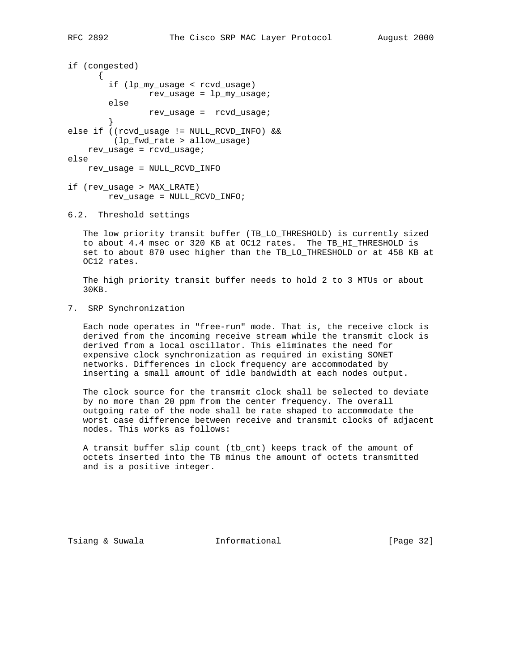```
if (congested)
      \left\{ \right. if (lp_my_usage < rcvd_usage)
                rev_usage = lp_my_usage;
         else
                rev_usage = rcvd_usage;
 }
else if ((rcvd_usage != NULL_RCVD_INFO) &&
         (lp_fwd_rate > allow_usage)
    rev_usage = rcvd_usage;
else
    rev_usage = NULL_RCVD_INFO
if (rev_usage > MAX_LRATE)
         rev_usage = NULL_RCVD_INFO;
```

```
6.2. Threshold settings
```
 The low priority transit buffer (TB\_LO\_THRESHOLD) is currently sized to about 4.4 msec or 320 KB at OC12 rates. The TB\_HI\_THRESHOLD is set to about 870 usec higher than the TB\_LO\_THRESHOLD or at 458 KB at OC12 rates.

 The high priority transit buffer needs to hold 2 to 3 MTUs or about 30KB.

7. SRP Synchronization

 Each node operates in "free-run" mode. That is, the receive clock is derived from the incoming receive stream while the transmit clock is derived from a local oscillator. This eliminates the need for expensive clock synchronization as required in existing SONET networks. Differences in clock frequency are accommodated by inserting a small amount of idle bandwidth at each nodes output.

 The clock source for the transmit clock shall be selected to deviate by no more than 20 ppm from the center frequency. The overall outgoing rate of the node shall be rate shaped to accommodate the worst case difference between receive and transmit clocks of adjacent nodes. This works as follows:

 A transit buffer slip count (tb\_cnt) keeps track of the amount of octets inserted into the TB minus the amount of octets transmitted and is a positive integer.

Tsiang & Suwala **Informational** [Page 32]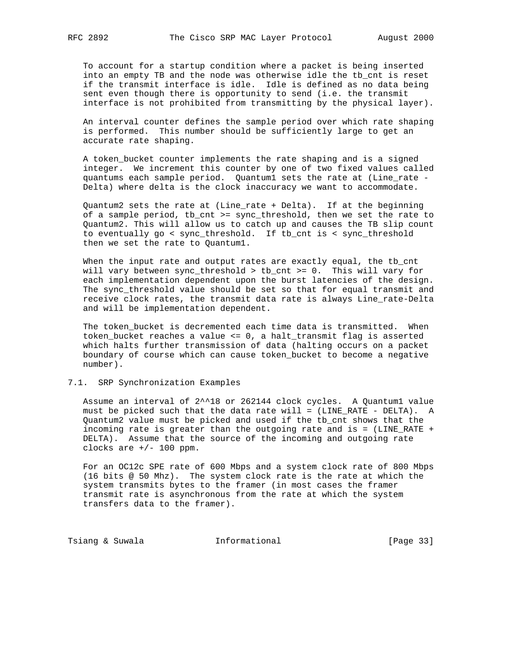To account for a startup condition where a packet is being inserted into an empty TB and the node was otherwise idle the tb\_cnt is reset if the transmit interface is idle. Idle is defined as no data being sent even though there is opportunity to send (i.e. the transmit

interface is not prohibited from transmitting by the physical layer).

 An interval counter defines the sample period over which rate shaping is performed. This number should be sufficiently large to get an accurate rate shaping.

 A token\_bucket counter implements the rate shaping and is a signed integer. We increment this counter by one of two fixed values called quantums each sample period. Quantum1 sets the rate at (Line\_rate - Delta) where delta is the clock inaccuracy we want to accommodate.

 Quantum2 sets the rate at (Line\_rate + Delta). If at the beginning of a sample period, tb\_cnt >= sync\_threshold, then we set the rate to Quantum2. This will allow us to catch up and causes the TB slip count to eventually go < sync\_threshold. If tb\_cnt is < sync\_threshold then we set the rate to Quantum1.

When the input rate and output rates are exactly equal, the tb\_cnt will vary between sync\_threshold > tb\_cnt >= 0. This will vary for each implementation dependent upon the burst latencies of the design. The sync\_threshold value should be set so that for equal transmit and receive clock rates, the transmit data rate is always Line\_rate-Delta and will be implementation dependent.

 The token\_bucket is decremented each time data is transmitted. When token\_bucket reaches a value <= 0, a halt\_transmit flag is asserted which halts further transmission of data (halting occurs on a packet boundary of course which can cause token\_bucket to become a negative number).

#### 7.1. SRP Synchronization Examples

 Assume an interval of 2^^18 or 262144 clock cycles. A Quantum1 value must be picked such that the data rate will = (LINE\_RATE - DELTA). A Quantum2 value must be picked and used if the tb\_cnt shows that the incoming rate is greater than the outgoing rate and is = (LINE\_RATE + DELTA). Assume that the source of the incoming and outgoing rate clocks are  $+/- 100$  ppm.

 For an OC12c SPE rate of 600 Mbps and a system clock rate of 800 Mbps (16 bits @ 50 Mhz). The system clock rate is the rate at which the system transmits bytes to the framer (in most cases the framer transmit rate is asynchronous from the rate at which the system transfers data to the framer).

Tsiang & Suwala **Informational** [Page 33]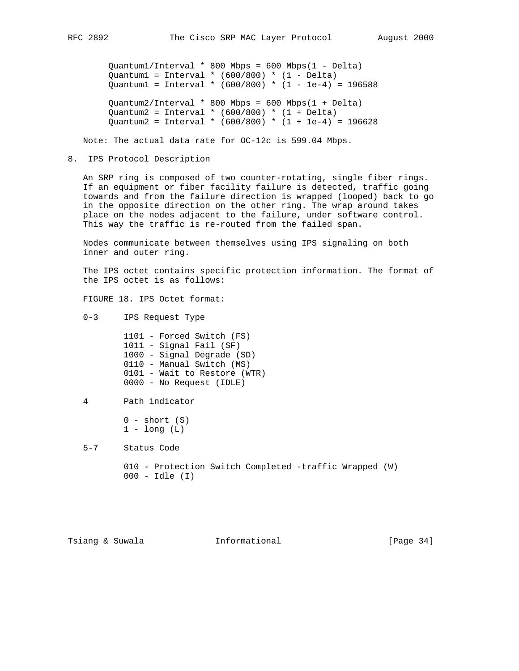Quantum1/Interval \* 800 Mbps = 600 Mbps(1 - Delta) Quantum1 = Interval \*  $(600/800)$  \*  $(1 - \text{Delta})$  $Quantum1 = Interval * (600/800) * (1 - 1e-4) = 196588$  Quantum2/Interval \* 800 Mbps = 600 Mbps(1 + Delta) Quantum2 = Interval \*  $(600/800)$  \*  $(1 + \text{Delta})$ Quantum2 = Interval \* (600/800) \* (1 + 1e-4) = 196628

Note: The actual data rate for OC-12c is 599.04 Mbps.

8. IPS Protocol Description

 An SRP ring is composed of two counter-rotating, single fiber rings. If an equipment or fiber facility failure is detected, traffic going towards and from the failure direction is wrapped (looped) back to go in the opposite direction on the other ring. The wrap around takes place on the nodes adjacent to the failure, under software control. This way the traffic is re-routed from the failed span.

 Nodes communicate between themselves using IPS signaling on both inner and outer ring.

 The IPS octet contains specific protection information. The format of the IPS octet is as follows:

FIGURE 18. IPS Octet format:

0-3 IPS Request Type

 1101 - Forced Switch (FS) 1011 - Signal Fail (SF) 1000 - Signal Degrade (SD) 0110 - Manual Switch (MS) 0101 - Wait to Restore (WTR) 0000 - No Request (IDLE)

4 Path indicator

```
0 - short (S)1 - long (L)
```
5-7 Status Code

 010 - Protection Switch Completed -traffic Wrapped (W) 000 - Idle (I)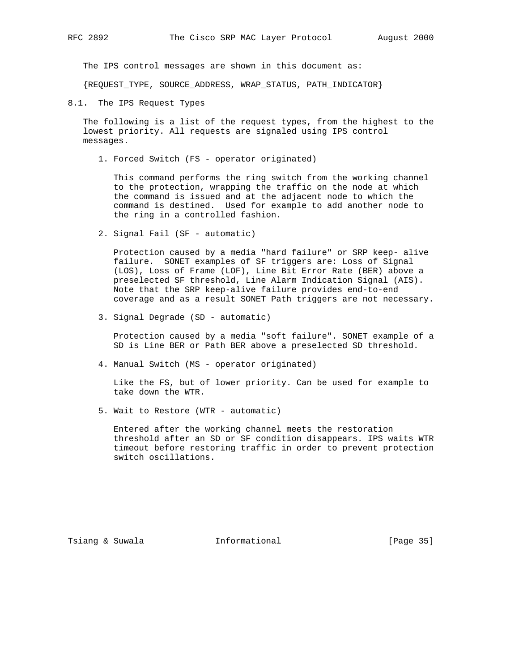The IPS control messages are shown in this document as:

{REQUEST\_TYPE, SOURCE\_ADDRESS, WRAP\_STATUS, PATH\_INDICATOR}

8.1. The IPS Request Types

 The following is a list of the request types, from the highest to the lowest priority. All requests are signaled using IPS control messages.

1. Forced Switch (FS - operator originated)

 This command performs the ring switch from the working channel to the protection, wrapping the traffic on the node at which the command is issued and at the adjacent node to which the command is destined. Used for example to add another node to the ring in a controlled fashion.

2. Signal Fail (SF - automatic)

 Protection caused by a media "hard failure" or SRP keep- alive failure. SONET examples of SF triggers are: Loss of Signal (LOS), Loss of Frame (LOF), Line Bit Error Rate (BER) above a preselected SF threshold, Line Alarm Indication Signal (AIS). Note that the SRP keep-alive failure provides end-to-end coverage and as a result SONET Path triggers are not necessary.

3. Signal Degrade (SD - automatic)

 Protection caused by a media "soft failure". SONET example of a SD is Line BER or Path BER above a preselected SD threshold.

4. Manual Switch (MS - operator originated)

 Like the FS, but of lower priority. Can be used for example to take down the WTR.

5. Wait to Restore (WTR - automatic)

 Entered after the working channel meets the restoration threshold after an SD or SF condition disappears. IPS waits WTR timeout before restoring traffic in order to prevent protection switch oscillations.

Tsiang & Suwala **Informational** 10 (Page 35)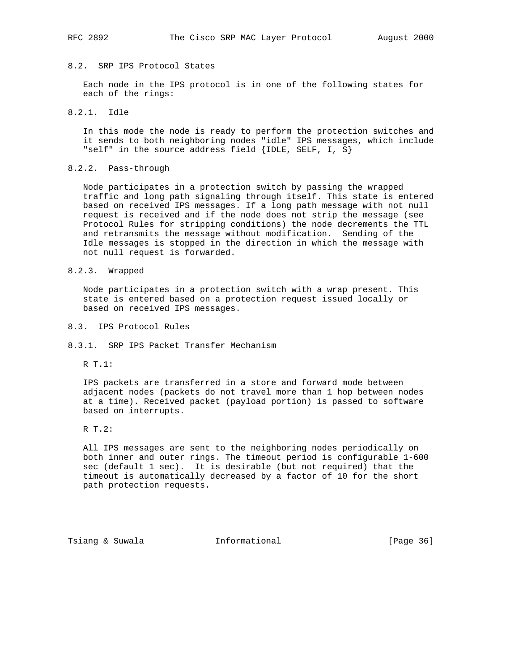### 8.2. SRP IPS Protocol States

 Each node in the IPS protocol is in one of the following states for each of the rings:

8.2.1. Idle

 In this mode the node is ready to perform the protection switches and it sends to both neighboring nodes "idle" IPS messages, which include "self" in the source address field {IDLE, SELF, I, S}

### 8.2.2. Pass-through

 Node participates in a protection switch by passing the wrapped traffic and long path signaling through itself. This state is entered based on received IPS messages. If a long path message with not null request is received and if the node does not strip the message (see Protocol Rules for stripping conditions) the node decrements the TTL and retransmits the message without modification. Sending of the Idle messages is stopped in the direction in which the message with not null request is forwarded.

8.2.3. Wrapped

 Node participates in a protection switch with a wrap present. This state is entered based on a protection request issued locally or based on received IPS messages.

- 8.3. IPS Protocol Rules
- 8.3.1. SRP IPS Packet Transfer Mechanism
	- R T.1:

 IPS packets are transferred in a store and forward mode between adjacent nodes (packets do not travel more than 1 hop between nodes at a time). Received packet (payload portion) is passed to software based on interrupts.

R T.2:

 All IPS messages are sent to the neighboring nodes periodically on both inner and outer rings. The timeout period is configurable 1-600 sec (default 1 sec). It is desirable (but not required) that the timeout is automatically decreased by a factor of 10 for the short path protection requests.

Tsiang & Suwala **Informational** [Page 36]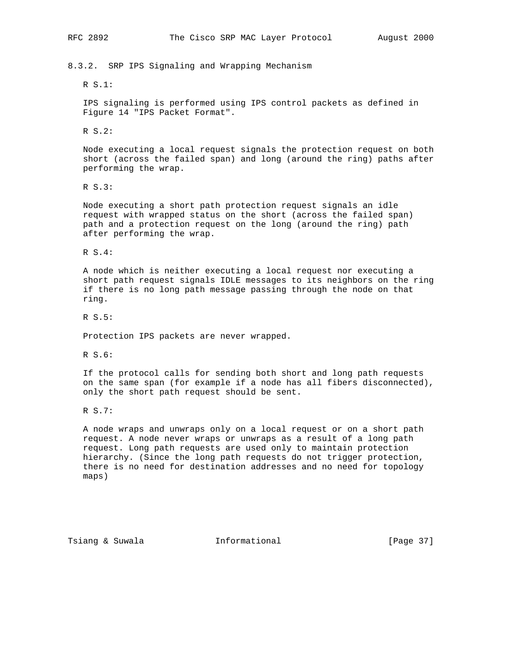8.3.2. SRP IPS Signaling and Wrapping Mechanism

R S.1:

 IPS signaling is performed using IPS control packets as defined in Figure 14 "IPS Packet Format".

R S.2:

 Node executing a local request signals the protection request on both short (across the failed span) and long (around the ring) paths after performing the wrap.

R S.3:

 Node executing a short path protection request signals an idle request with wrapped status on the short (across the failed span) path and a protection request on the long (around the ring) path after performing the wrap.

R S.4:

 A node which is neither executing a local request nor executing a short path request signals IDLE messages to its neighbors on the ring if there is no long path message passing through the node on that ring.

R S.5:

Protection IPS packets are never wrapped.

R S.6:

 If the protocol calls for sending both short and long path requests on the same span (for example if a node has all fibers disconnected), only the short path request should be sent.

R S.7:

 A node wraps and unwraps only on a local request or on a short path request. A node never wraps or unwraps as a result of a long path request. Long path requests are used only to maintain protection hierarchy. (Since the long path requests do not trigger protection, there is no need for destination addresses and no need for topology maps)

Tsiang & Suwala **Informational** [Page 37]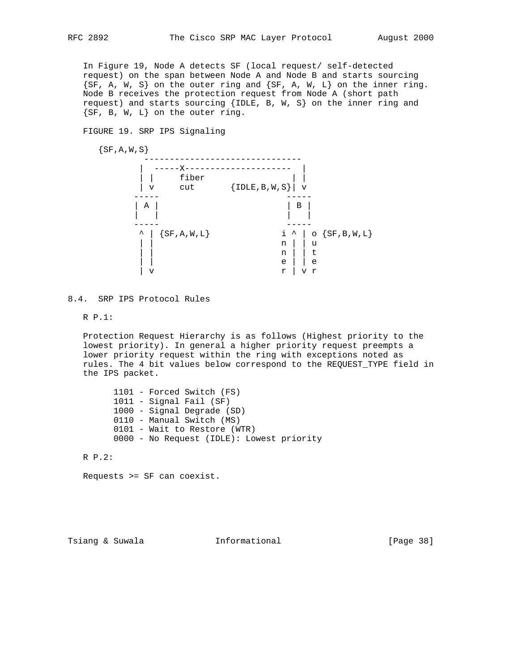In Figure 19, Node A detects SF (local request/ self-detected request) on the span between Node A and Node B and starts sourcing  $\{SF, A, W, S\}$  on the outer ring and  $\{SF, A, W, L\}$  on the inner ring. Node B receives the protection request from Node A (short path request) and starts sourcing {IDLE, B, W, S} on the inner ring and {SF, B, W, L} on the outer ring.

FIGURE 19. SRP IPS Signaling

 $\{SF, A, W, S\}$  ------------------------------- | -----X--------------------- | | | fiber | | |  $\begin{array}{|c|c|c|}\hline \ \circ & \circ \circ \circ \end{array} \qquad \quad \{ \hbox{\rm IDLE}, \hbox{\sf B}, \hbox{\sf W}, \hbox{\sf S} \} \quad \hbox{\rm v}$  ----- ----- | A | | B | | | | | ----- -----  $\land$  | {SF,A,W,L} i  $\land$  | o {SF,B,W,L} | | n | | u | u | | u | | u | | u | | u | | u | | u | | u | | u | | u | | u | | u | | u | | u | | u | | u | | u | | n | | t | | e | | e | v r | v r

8.4. SRP IPS Protocol Rules

R P.1:

 Protection Request Hierarchy is as follows (Highest priority to the lowest priority). In general a higher priority request preempts a lower priority request within the ring with exceptions noted as rules. The 4 bit values below correspond to the REQUEST\_TYPE field in the IPS packet.

 1101 - Forced Switch (FS) 1011 - Signal Fail (SF) 1000 - Signal Degrade (SD) 0110 - Manual Switch (MS) 0101 - Wait to Restore (WTR) 0000 - No Request (IDLE): Lowest priority

R P.2:

Requests >= SF can coexist.

Tsiang & Suwala **Informational** [Page 38]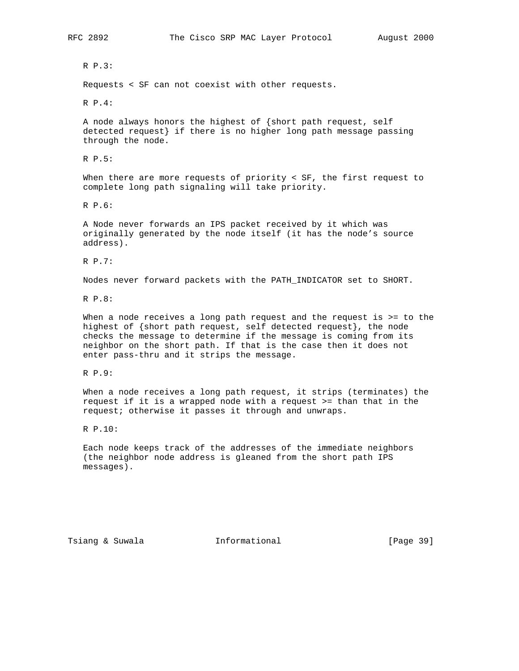R P.3:

Requests < SF can not coexist with other requests.

R P.4:

 A node always honors the highest of {short path request, self detected request} if there is no higher long path message passing through the node.

R P.5:

 When there are more requests of priority < SF, the first request to complete long path signaling will take priority.

R P.6:

 A Node never forwards an IPS packet received by it which was originally generated by the node itself (it has the node's source address).

R P.7:

Nodes never forward packets with the PATH\_INDICATOR set to SHORT.

R P.8:

When a node receives a long path request and the request is >= to the highest of {short path request, self detected request}, the node checks the message to determine if the message is coming from its neighbor on the short path. If that is the case then it does not enter pass-thru and it strips the message.

R P.9:

 When a node receives a long path request, it strips (terminates) the request if it is a wrapped node with a request >= than that in the request; otherwise it passes it through and unwraps.

R P.10:

 Each node keeps track of the addresses of the immediate neighbors (the neighbor node address is gleaned from the short path IPS messages).

Tsiang & Suwala **Informational** 10 [Page 39]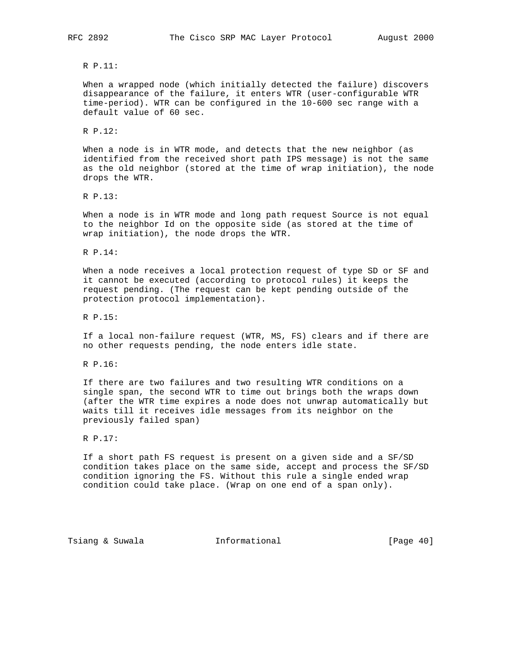#### R P.11:

 When a wrapped node (which initially detected the failure) discovers disappearance of the failure, it enters WTR (user-configurable WTR time-period). WTR can be configured in the 10-600 sec range with a default value of 60 sec.

R P.12:

 When a node is in WTR mode, and detects that the new neighbor (as identified from the received short path IPS message) is not the same as the old neighbor (stored at the time of wrap initiation), the node drops the WTR.

R P.13:

 When a node is in WTR mode and long path request Source is not equal to the neighbor Id on the opposite side (as stored at the time of wrap initiation), the node drops the WTR.

R P.14:

 When a node receives a local protection request of type SD or SF and it cannot be executed (according to protocol rules) it keeps the request pending. (The request can be kept pending outside of the protection protocol implementation).

R P.15:

 If a local non-failure request (WTR, MS, FS) clears and if there are no other requests pending, the node enters idle state.

R P.16:

 If there are two failures and two resulting WTR conditions on a single span, the second WTR to time out brings both the wraps down (after the WTR time expires a node does not unwrap automatically but waits till it receives idle messages from its neighbor on the previously failed span)

R P.17:

 If a short path FS request is present on a given side and a SF/SD condition takes place on the same side, accept and process the SF/SD condition ignoring the FS. Without this rule a single ended wrap condition could take place. (Wrap on one end of a span only).

Tsiang & Suwala **Informational** [Page 40]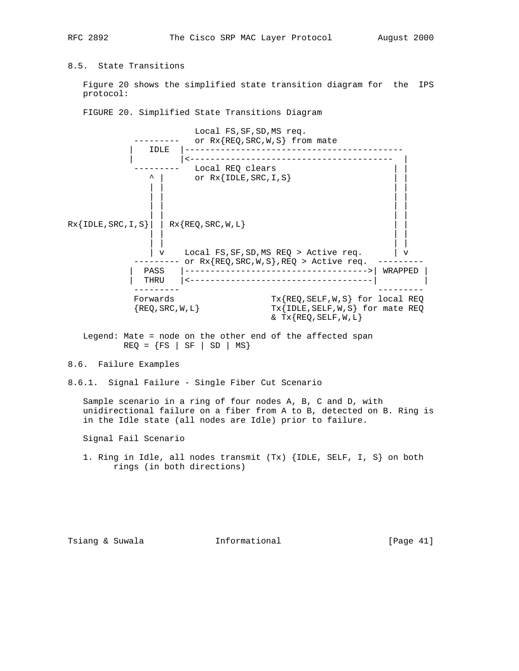8.5. State Transitions

 Figure 20 shows the simplified state transition diagram for the IPS protocol:

FIGURE 20. Simplified State Transitions Diagram

 Local FS,SF,SD,MS req. --------- or Rx{REQ,SRC,W,S} from mate | IDLE |------------------------------------------- | |<---------------------------------------- | --------- Local REQ clears | |  $\uparrow$  | or Rx{IDLE, SRC, I, S} | | | | | | | | | | | | | | | | | |  $Rx{IDLE,SRC,I,S}|$  |  $Rx{REQ,SRC,N,L}$  | | | | | | | |  $|v|$  Local FS, SF, SD, MS REQ > Active req.  $|v|$ -------- or Rx{REQ,SRC,W,S},REQ > Active req. --------- | PASS |------------------------------------>| WRAPPED | | THRU |<------------------------------------| | ---------<br>Forwards<br>{REQ,SRC,W,L} Forwards Tx{REQ,SELF,W,S} for local REQ  $\{REQ,SRC,W,L\}$  Tx $\{IDLE,SELF,W,S\}$  for mate REQ  $& Tx \{ REQ, SELF, W, L \}$ 

 Legend: Mate = node on the other end of the affected span  $REQ = \{FS \mid SF \mid SD \mid MS\}$ 

8.6. Failure Examples

8.6.1. Signal Failure - Single Fiber Cut Scenario

 Sample scenario in a ring of four nodes A, B, C and D, with unidirectional failure on a fiber from A to B, detected on B. Ring is in the Idle state (all nodes are Idle) prior to failure.

Signal Fail Scenario

 1. Ring in Idle, all nodes transmit (Tx) {IDLE, SELF, I, S} on both rings (in both directions)

Tsiang & Suwala **Informational** [Page 41]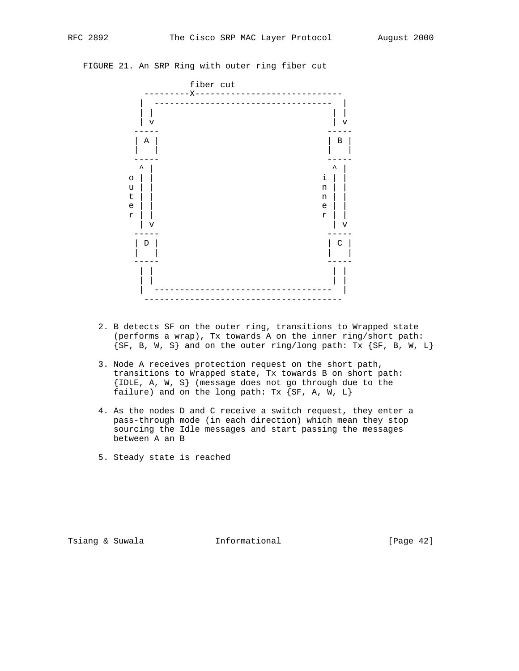## FIGURE 21. An SRP Ring with outer ring fiber cut



- 2. B detects SF on the outer ring, transitions to Wrapped state (performs a wrap), Tx towards A on the inner ring/short path:  $\{SF, B, W, S\}$  and on the outer ring/long path: Tx  $\{SF, B, W, L\}$
- 3. Node A receives protection request on the short path, transitions to Wrapped state, Tx towards B on short path: {IDLE, A, W, S} (message does not go through due to the failure) and on the long path:  $Tx$  {SF, A, W, L}
- 4. As the nodes D and C receive a switch request, they enter a pass-through mode (in each direction) which mean they stop sourcing the Idle messages and start passing the messages between A an B
- 5. Steady state is reached

Tsiang & Suwala **Informational** 10 (Page 42)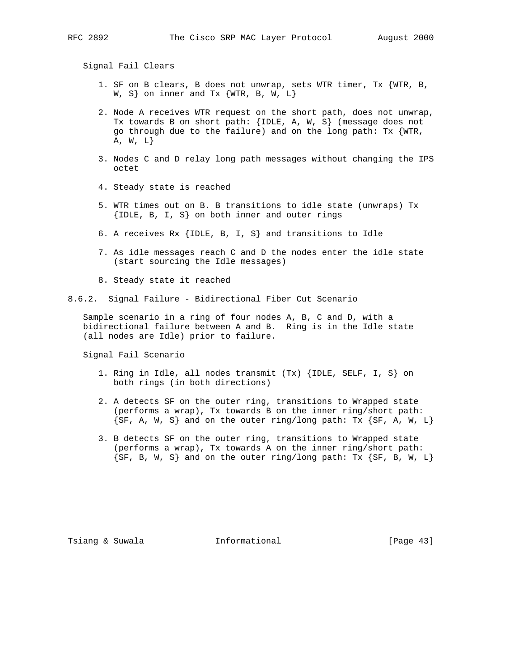Signal Fail Clears

- 1. SF on B clears, B does not unwrap, sets WTR timer, Tx {WTR, B, W, S on inner and Tx  $\{WTR, B, W, L\}$
- 2. Node A receives WTR request on the short path, does not unwrap, Tx towards B on short path: {IDLE, A, W, S} (message does not go through due to the failure) and on the long path:  $Tx \{WTR,$  $A, W, L$
- 3. Nodes C and D relay long path messages without changing the IPS octet
- 4. Steady state is reached
- 5. WTR times out on B. B transitions to idle state (unwraps) Tx {IDLE, B, I, S} on both inner and outer rings
- 6. A receives Rx {IDLE, B, I, S} and transitions to Idle
- 7. As idle messages reach C and D the nodes enter the idle state (start sourcing the Idle messages)
- 8. Steady state it reached

8.6.2. Signal Failure - Bidirectional Fiber Cut Scenario

 Sample scenario in a ring of four nodes A, B, C and D, with a bidirectional failure between A and B. Ring is in the Idle state (all nodes are Idle) prior to failure.

Signal Fail Scenario

- 1. Ring in Idle, all nodes transmit (Tx) {IDLE, SELF, I, S} on both rings (in both directions)
- 2. A detects SF on the outer ring, transitions to Wrapped state (performs a wrap), Tx towards B on the inner ring/short path:  $\{SF, A, W, S\}$  and on the outer ring/long path: Tx  $\{SF, A, W, L\}$
- 3. B detects SF on the outer ring, transitions to Wrapped state (performs a wrap), Tx towards A on the inner ring/short path:  $\{SF, B, W, S\}$  and on the outer ring/long path: Tx  $\{SF, B, W, L\}$

Tsiang & Suwala **Informational** [Page 43]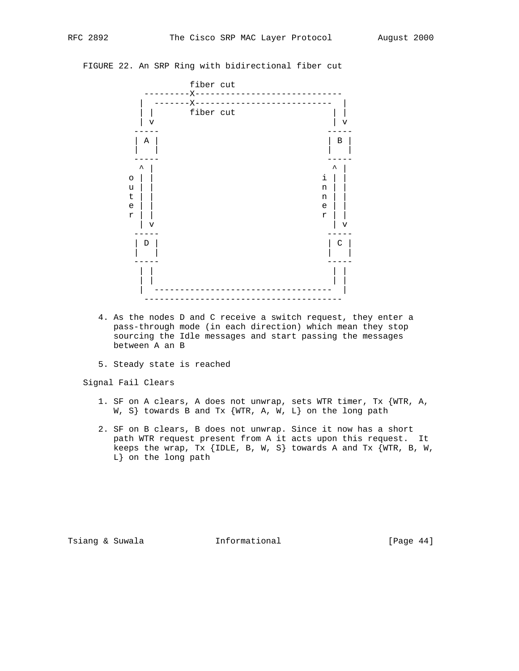## FIGURE 22. An SRP Ring with bidirectional fiber cut



- 4. As the nodes D and C receive a switch request, they enter a pass-through mode (in each direction) which mean they stop sourcing the Idle messages and start passing the messages between A an B
- 5. Steady state is reached

Signal Fail Clears

- 1. SF on A clears, A does not unwrap, sets WTR timer, Tx {WTR, A, W, S} towards B and Tx {WTR, A, W, L} on the long path
- 2. SF on B clears, B does not unwrap. Since it now has a short path WTR request present from A it acts upon this request. It keeps the wrap, Tx {IDLE, B, W, S} towards A and Tx  $\overline{\text{WTR}}$ , B, W, L} on the long path

Tsiang & Suwala **Informational** 10 (Page 44)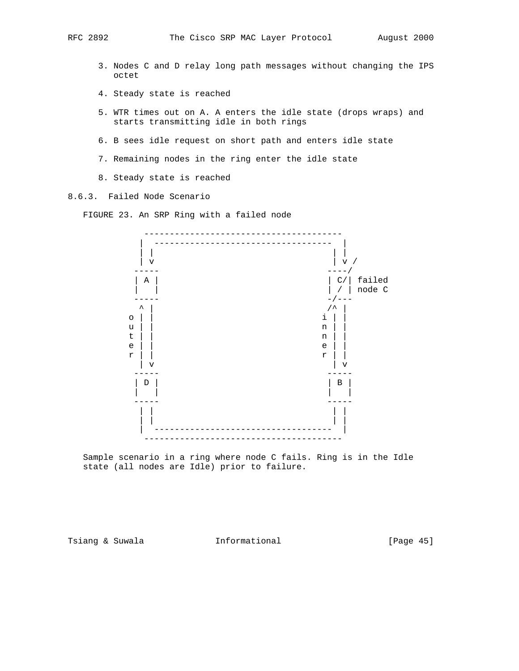- 3. Nodes C and D relay long path messages without changing the IPS octet
- 4. Steady state is reached
- 5. WTR times out on A. A enters the idle state (drops wraps) and starts transmitting idle in both rings
- 6. B sees idle request on short path and enters idle state
- 7. Remaining nodes in the ring enter the idle state
- 8. Steady state is reached

8.6.3. Failed Node Scenario

FIGURE 23. An SRP Ring with a failed node



 Sample scenario in a ring where node C fails. Ring is in the Idle state (all nodes are Idle) prior to failure.

Tsiang & Suwala **Informational** [Page 45]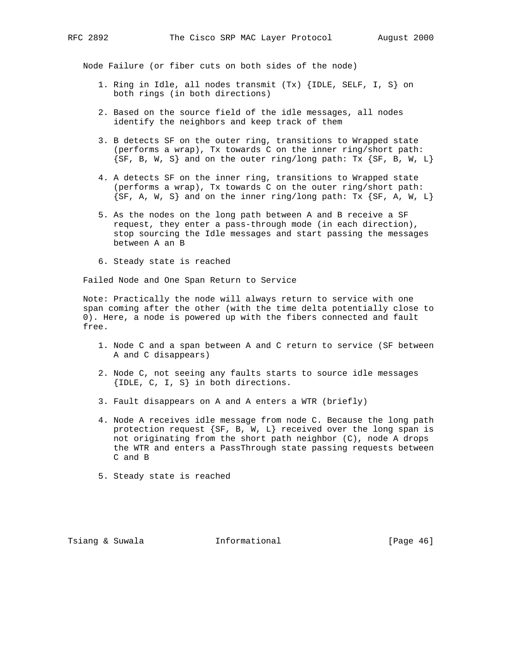Node Failure (or fiber cuts on both sides of the node)

- 1. Ring in Idle, all nodes transmit (Tx) {IDLE, SELF, I, S} on both rings (in both directions)
- 2. Based on the source field of the idle messages, all nodes identify the neighbors and keep track of them
- 3. B detects SF on the outer ring, transitions to Wrapped state (performs a wrap), Tx towards C on the inner ring/short path:  $\{SF, B, W, S\}$  and on the outer ring/long path: Tx  $\{SF, B, W, L\}$
- 4. A detects SF on the inner ring, transitions to Wrapped state (performs a wrap), Tx towards C on the outer ring/short path:  $\{SF, A, W, S\}$  and on the inner ring/long path: Tx  $\{SF, A, W, L\}$
- 5. As the nodes on the long path between A and B receive a SF request, they enter a pass-through mode (in each direction), stop sourcing the Idle messages and start passing the messages between A an B
- 6. Steady state is reached

Failed Node and One Span Return to Service

 Note: Practically the node will always return to service with one span coming after the other (with the time delta potentially close to 0). Here, a node is powered up with the fibers connected and fault free.

- 1. Node C and a span between A and C return to service (SF between A and C disappears)
- 2. Node C, not seeing any faults starts to source idle messages {IDLE, C, I, S} in both directions.
- 3. Fault disappears on A and A enters a WTR (briefly)
- 4. Node A receives idle message from node C. Because the long path protection request {SF, B, W, L} received over the long span is not originating from the short path neighbor (C), node A drops the WTR and enters a PassThrough state passing requests between C and B
- 5. Steady state is reached

Tsiang & Suwala **Informational** [Page 46]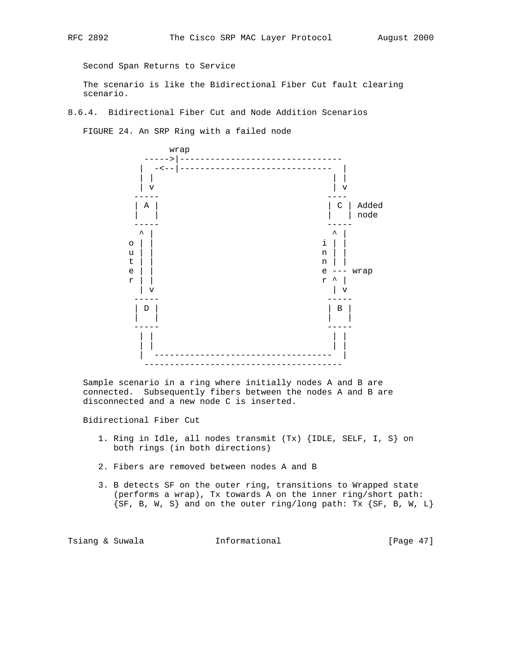Second Span Returns to Service

 The scenario is like the Bidirectional Fiber Cut fault clearing scenario.

8.6.4. Bidirectional Fiber Cut and Node Addition Scenarios

FIGURE 24. An SRP Ring with a failed node



 Sample scenario in a ring where initially nodes A and B are connected. Subsequently fibers between the nodes A and B are disconnected and a new node C is inserted.

Bidirectional Fiber Cut

- 1. Ring in Idle, all nodes transmit (Tx) {IDLE, SELF, I, S} on both rings (in both directions)
- 2. Fibers are removed between nodes A and B
- 3. B detects SF on the outer ring, transitions to Wrapped state (performs a wrap), Tx towards A on the inner ring/short path:  ${SF, B, W, S}$  and on the outer ring/long path: Tx  ${SF, B, W, L}$

Tsiang & Suwala **Informational** [Page 47]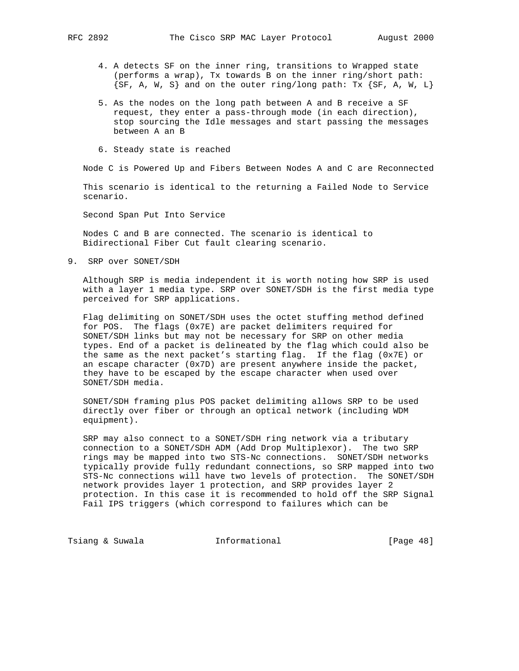- 4. A detects SF on the inner ring, transitions to Wrapped state (performs a wrap), Tx towards B on the inner ring/short path:  $\{SF, A, W, S\}$  and on the outer ring/long path: Tx  $\{SF, A, W, L\}$
- 5. As the nodes on the long path between A and B receive a SF request, they enter a pass-through mode (in each direction), stop sourcing the Idle messages and start passing the messages between A an B
- 6. Steady state is reached

Node C is Powered Up and Fibers Between Nodes A and C are Reconnected

 This scenario is identical to the returning a Failed Node to Service scenario.

Second Span Put Into Service

 Nodes C and B are connected. The scenario is identical to Bidirectional Fiber Cut fault clearing scenario.

9. SRP over SONET/SDH

 Although SRP is media independent it is worth noting how SRP is used with a layer 1 media type. SRP over SONET/SDH is the first media type perceived for SRP applications.

 Flag delimiting on SONET/SDH uses the octet stuffing method defined for POS. The flags (0x7E) are packet delimiters required for SONET/SDH links but may not be necessary for SRP on other media types. End of a packet is delineated by the flag which could also be the same as the next packet's starting flag. If the flag (0x7E) or an escape character (0x7D) are present anywhere inside the packet, they have to be escaped by the escape character when used over SONET/SDH media.

 SONET/SDH framing plus POS packet delimiting allows SRP to be used directly over fiber or through an optical network (including WDM equipment).

 SRP may also connect to a SONET/SDH ring network via a tributary connection to a SONET/SDH ADM (Add Drop Multiplexor). The two SRP rings may be mapped into two STS-Nc connections. SONET/SDH networks typically provide fully redundant connections, so SRP mapped into two STS-Nc connections will have two levels of protection. The SONET/SDH network provides layer 1 protection, and SRP provides layer 2 protection. In this case it is recommended to hold off the SRP Signal Fail IPS triggers (which correspond to failures which can be

Tsiang & Suwala **Informational** 10 [Page 48]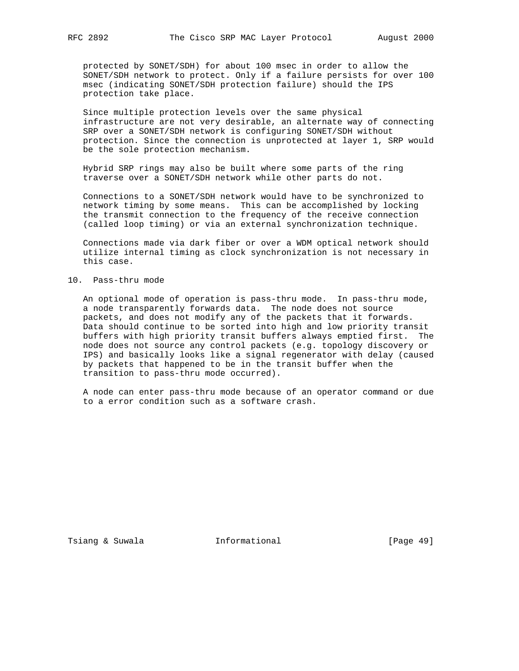protected by SONET/SDH) for about 100 msec in order to allow the SONET/SDH network to protect. Only if a failure persists for over 100 msec (indicating SONET/SDH protection failure) should the IPS protection take place.

 Since multiple protection levels over the same physical infrastructure are not very desirable, an alternate way of connecting SRP over a SONET/SDH network is configuring SONET/SDH without protection. Since the connection is unprotected at layer 1, SRP would be the sole protection mechanism.

 Hybrid SRP rings may also be built where some parts of the ring traverse over a SONET/SDH network while other parts do not.

 Connections to a SONET/SDH network would have to be synchronized to network timing by some means. This can be accomplished by locking the transmit connection to the frequency of the receive connection (called loop timing) or via an external synchronization technique.

 Connections made via dark fiber or over a WDM optical network should utilize internal timing as clock synchronization is not necessary in this case.

#### 10. Pass-thru mode

 An optional mode of operation is pass-thru mode. In pass-thru mode, a node transparently forwards data. The node does not source packets, and does not modify any of the packets that it forwards. Data should continue to be sorted into high and low priority transit buffers with high priority transit buffers always emptied first. The node does not source any control packets (e.g. topology discovery or IPS) and basically looks like a signal regenerator with delay (caused by packets that happened to be in the transit buffer when the transition to pass-thru mode occurred).

 A node can enter pass-thru mode because of an operator command or due to a error condition such as a software crash.

Tsiang & Suwala **Informational** 10 [Page 49]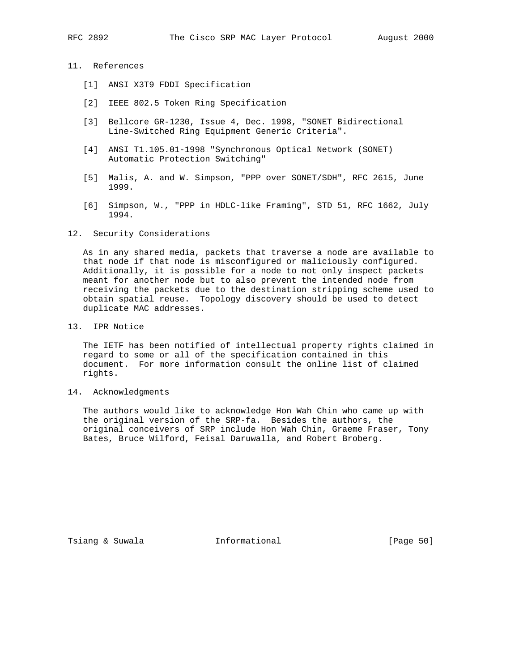## 11. References

- [1] ANSI X3T9 FDDI Specification
- [2] IEEE 802.5 Token Ring Specification
- [3] Bellcore GR-1230, Issue 4, Dec. 1998, "SONET Bidirectional Line-Switched Ring Equipment Generic Criteria".
- [4] ANSI T1.105.01-1998 "Synchronous Optical Network (SONET) Automatic Protection Switching"
- [5] Malis, A. and W. Simpson, "PPP over SONET/SDH", RFC 2615, June 1999.
- [6] Simpson, W., "PPP in HDLC-like Framing", STD 51, RFC 1662, July 1994.

#### 12. Security Considerations

 As in any shared media, packets that traverse a node are available to that node if that node is misconfigured or maliciously configured. Additionally, it is possible for a node to not only inspect packets meant for another node but to also prevent the intended node from receiving the packets due to the destination stripping scheme used to obtain spatial reuse. Topology discovery should be used to detect duplicate MAC addresses.

13. IPR Notice

 The IETF has been notified of intellectual property rights claimed in regard to some or all of the specification contained in this document. For more information consult the online list of claimed rights.

14. Acknowledgments

 The authors would like to acknowledge Hon Wah Chin who came up with the original version of the SRP-fa. Besides the authors, the original conceivers of SRP include Hon Wah Chin, Graeme Fraser, Tony Bates, Bruce Wilford, Feisal Daruwalla, and Robert Broberg.

Tsiang & Suwala **Informational** [Page 50]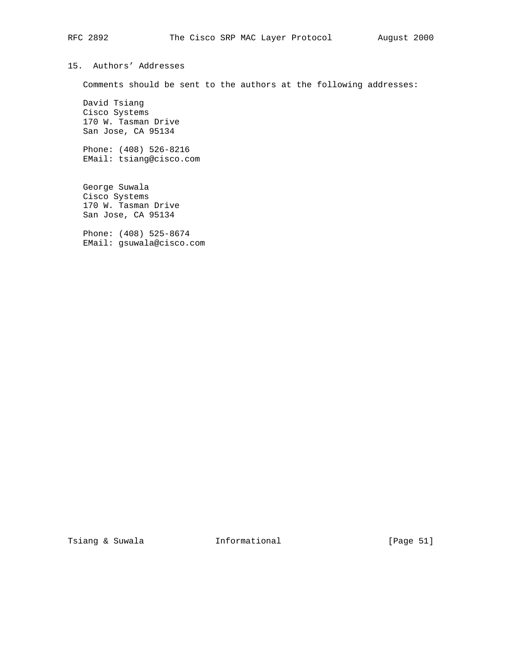Comments should be sent to the authors at the following addresses:

 David Tsiang Cisco Systems 170 W. Tasman Drive San Jose, CA 95134

15. Authors' Addresses

 Phone: (408) 526-8216 EMail: tsiang@cisco.com

 George Suwala Cisco Systems 170 W. Tasman Drive San Jose, CA 95134

 Phone: (408) 525-8674 EMail: gsuwala@cisco.com